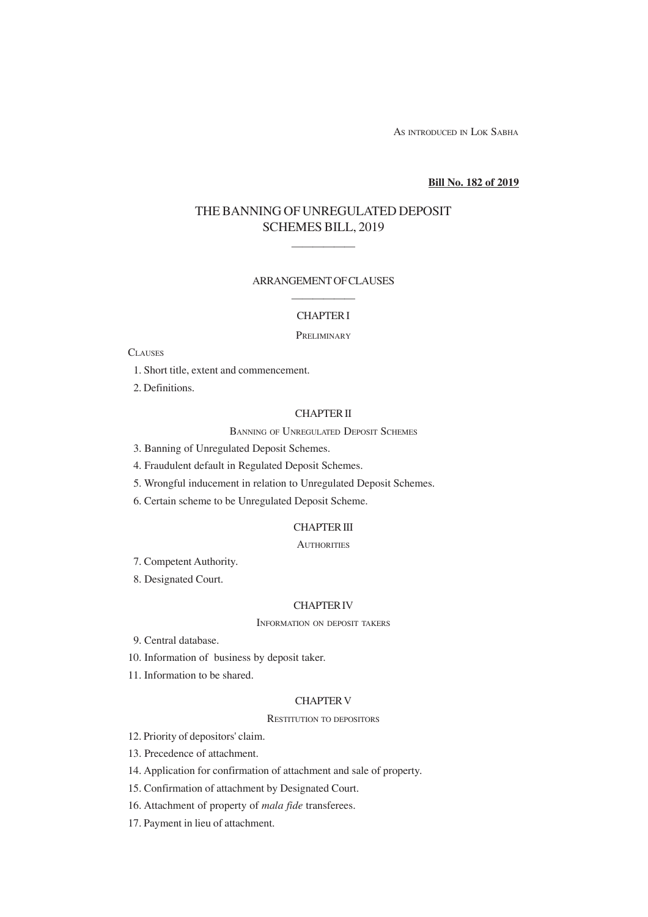AS INTRODUCED IN LOK SABHA

### **Bill No. 182 of 2019**

# THE BANNING OF UNREGULATED DEPOSIT SCHEMES BILL, 2019

——————

### ARRANGEMENT OF CLAUSES

## —————— CHAPTER I

#### **PRELIMINARY**

## **CLAUSES**

- 1. Short title, extent and commencement.
- 2. Definitions.

## CHAPTER II

#### BANNING OF UNREGULATED DEPOSIT SCHEMES

- 3. Banning of Unregulated Deposit Schemes.
- 4. Fraudulent default in Regulated Deposit Schemes.
- 5. Wrongful inducement in relation to Unregulated Deposit Schemes.
- 6. Certain scheme to be Unregulated Deposit Scheme.

### CHAPTER III

### **AUTHORITIES**

- 7. Competent Authority.
- 8. Designated Court.

#### CHAPTER IV

INFORMATION ON DEPOSIT TAKERS

- 9. Central database.
- 10. Information of business by deposit taker.
- 11. Information to be shared.

## CHAPTER V

#### RESTITUTION TO DEPOSITORS

- 12. Priority of depositors' claim.
- 13. Precedence of attachment.
- 14. Application for confirmation of attachment and sale of property.
- 15. Confirmation of attachment by Designated Court.
- 16. Attachment of property of *mala fide* transferees.
- 17. Payment in lieu of attachment.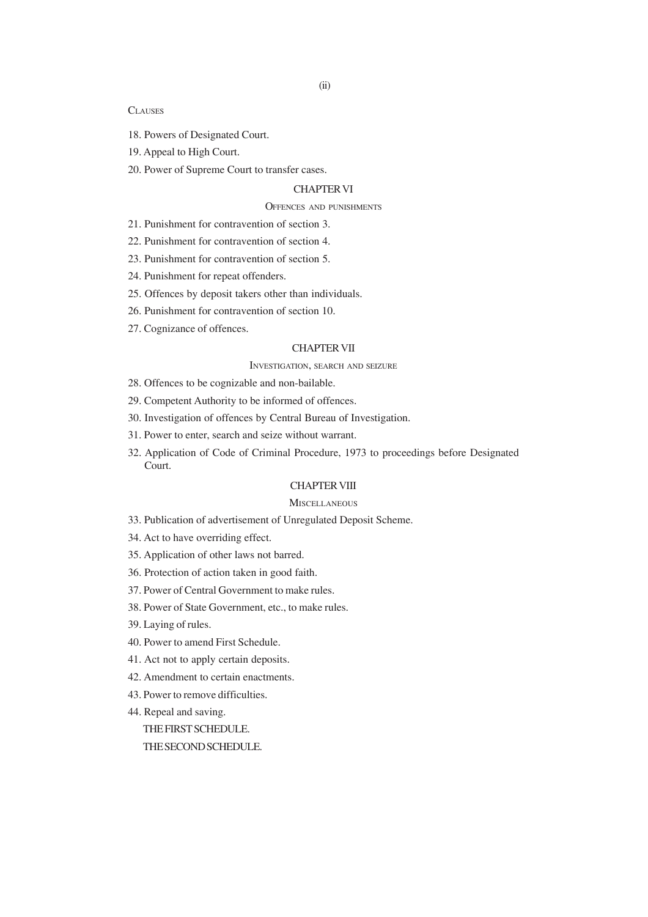### **CLAUSES**

- 18. Powers of Designated Court.
- 19. Appeal to High Court.
- 20. Power of Supreme Court to transfer cases.

## CHAPTER VI

## OFFENCES AND PUNISHMENTS

- 21. Punishment for contravention of section 3.
- 22. Punishment for contravention of section 4.
- 23. Punishment for contravention of section 5.
- 24. Punishment for repeat offenders.
- 25. Offences by deposit takers other than individuals.
- 26. Punishment for contravention of section 10.
- 27. Cognizance of offences.

#### CHAPTER VII

### INVESTIGATION, SEARCH AND SEIZURE

28. Offences to be cognizable and non-bailable.

- 29. Competent Authority to be informed of offences.
- 30. Investigation of offences by Central Bureau of Investigation.
- 31. Power to enter, search and seize without warrant.
- 32. Application of Code of Criminal Procedure, 1973 to proceedings before Designated Court.

## CHAPTER VIII

#### **MISCELLANEOUS**

- 33. Publication of advertisement of Unregulated Deposit Scheme.
- 34. Act to have overriding effect.
- 35. Application of other laws not barred.
- 36. Protection of action taken in good faith.
- 37. Power of Central Government to make rules.
- 38. Power of State Government, etc., to make rules.
- 39. Laying of rules.
- 40. Power to amend First Schedule.
- 41. Act not to apply certain deposits.
- 42. Amendment to certain enactments.
- 43. Power to remove difficulties.
- 44. Repeal and saving.

THE FIRST SCHEDULE.

THE SECOND SCHEDULE.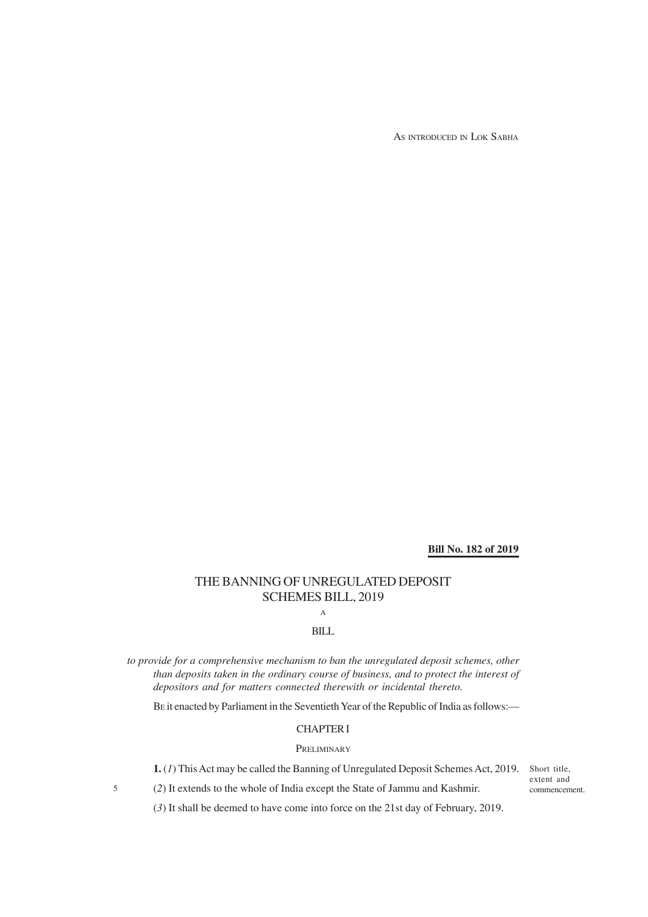AS INTRODUCED IN LOK SABHA

**Bill No. 182 of 2019**

# THE BANNING OF UNREGULATED DEPOSIT SCHEMES BILL, 2019

A

## BILL

*to provide for a comprehensive mechanism to ban the unregulated deposit schemes, other than deposits taken in the ordinary course of business, and to protect the interest of depositors and for matters connected therewith or incidental thereto.*

BE it enacted by Parliament in the Seventieth Year of the Republic of India as follows:—

## CHAPTER I

### **PRELIMINARY**

**1.** (*1*) This Act may be called the Banning of Unregulated Deposit Schemes Act, 2019. Short title,

extent and commencement.

(*3*) It shall be deemed to have come into force on the 21st day of February, 2019.

(*2*) It extends to the whole of India except the State of Jammu and Kashmir.

5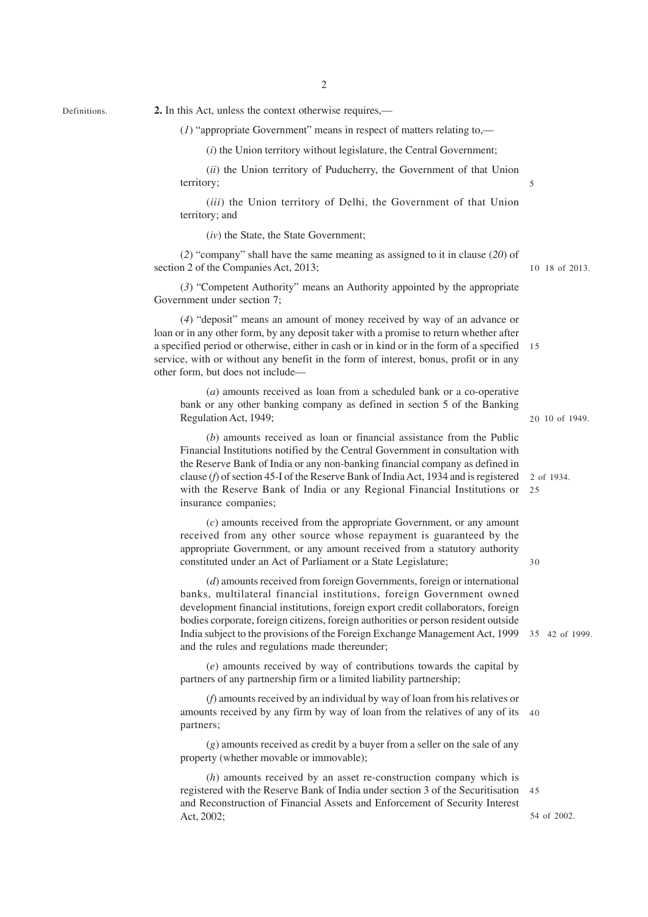2

Definitions.

**2.** In this Act, unless the context otherwise requires,—

(*1*) "appropriate Government" means in respect of matters relating to,—

(*i*) the Union territory without legislature, the Central Government;

(*ii*) the Union territory of Puducherry, the Government of that Union territory;

(*iii*) the Union territory of Delhi, the Government of that Union territory; and

(*iv*) the State, the State Government;

(*2*) "company" shall have the same meaning as assigned to it in clause (*20*) of section 2 of the Companies Act, 2013;

(*3*) "Competent Authority" means an Authority appointed by the appropriate Government under section 7;

(*4*) "deposit" means an amount of money received by way of an advance or loan or in any other form, by any deposit taker with a promise to return whether after a specified period or otherwise, either in cash or in kind or in the form of a specified 15 service, with or without any benefit in the form of interest, bonus, profit or in any other form, but does not include—

(*a*) amounts received as loan from a scheduled bank or a co-operative bank or any other banking company as defined in section 5 of the Banking Regulation Act, 1949;

(*b*) amounts received as loan or financial assistance from the Public Financial Institutions notified by the Central Government in consultation with the Reserve Bank of India or any non-banking financial company as defined in clause (*f*) of section 45-I of the Reserve Bank of India Act, 1934 and is registered with the Reserve Bank of India or any Regional Financial Institutions or insurance companies;

(*c*) amounts received from the appropriate Government, or any amount received from any other source whose repayment is guaranteed by the appropriate Government, or any amount received from a statutory authority constituted under an Act of Parliament or a State Legislature;

(*d*) amounts received from foreign Governments, foreign or international banks, multilateral financial institutions, foreign Government owned development financial institutions, foreign export credit collaborators, foreign bodies corporate, foreign citizens, foreign authorities or person resident outside India subject to the provisions of the Foreign Exchange Management Act, 1999 35 42 of 1999. and the rules and regulations made thereunder;

(*e*) amounts received by way of contributions towards the capital by partners of any partnership firm or a limited liability partnership;

(*f*) amounts received by an individual by way of loan from his relatives or amounts received by any firm by way of loan from the relatives of any of its 40 partners;

(*g*) amounts received as credit by a buyer from a seller on the sale of any property (whether movable or immovable);

(*h*) amounts received by an asset re-construction company which is registered with the Reserve Bank of India under section 3 of the Securitisation 45and Reconstruction of Financial Assets and Enforcement of Security Interest Act, 2002;

18 of 2013. 10

5

20 10 of 1949.

2 of 1934. 25

30

54 of 2002.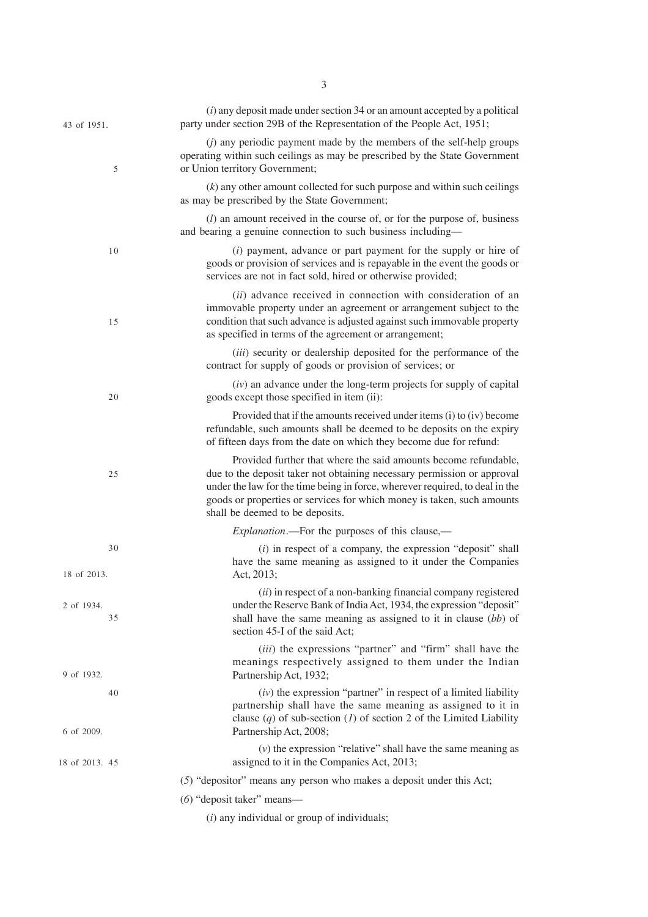| 43 of 1951.       | $(i)$ any deposit made under section 34 or an amount accepted by a political<br>party under section 29B of the Representation of the People Act, 1951;                                                                                                                                                                                  |
|-------------------|-----------------------------------------------------------------------------------------------------------------------------------------------------------------------------------------------------------------------------------------------------------------------------------------------------------------------------------------|
| 5                 | ( <i>j</i> ) any periodic payment made by the members of the self-help groups<br>operating within such ceilings as may be prescribed by the State Government<br>or Union territory Government;                                                                                                                                          |
|                   | $(k)$ any other amount collected for such purpose and within such ceilings<br>as may be prescribed by the State Government;                                                                                                                                                                                                             |
|                   | $(l)$ an amount received in the course of, or for the purpose of, business<br>and bearing a genuine connection to such business including—                                                                                                                                                                                              |
| 10                | (i) payment, advance or part payment for the supply or hire of<br>goods or provision of services and is repayable in the event the goods or<br>services are not in fact sold, hired or otherwise provided;                                                                                                                              |
| 15                | (ii) advance received in connection with consideration of an<br>immovable property under an agreement or arrangement subject to the<br>condition that such advance is adjusted against such immovable property<br>as specified in terms of the agreement or arrangement;                                                                |
|                   | (iii) security or dealership deposited for the performance of the<br>contract for supply of goods or provision of services; or                                                                                                                                                                                                          |
| 20                | $(iv)$ an advance under the long-term projects for supply of capital<br>goods except those specified in item (ii):                                                                                                                                                                                                                      |
|                   | Provided that if the amounts received under items (i) to (iv) become<br>refundable, such amounts shall be deemed to be deposits on the expiry<br>of fifteen days from the date on which they become due for refund:                                                                                                                     |
| 25                | Provided further that where the said amounts become refundable,<br>due to the deposit taker not obtaining necessary permission or approval<br>under the law for the time being in force, wherever required, to deal in the<br>goods or properties or services for which money is taken, such amounts<br>shall be deemed to be deposits. |
|                   | <i>Explanation</i> .—For the purposes of this clause,—                                                                                                                                                                                                                                                                                  |
| 30<br>18 of 2013. | $(i)$ in respect of a company, the expression "deposit" shall<br>have the same meaning as assigned to it under the Companies<br>Act, 2013;                                                                                                                                                                                              |
| 2 of 1934.<br>35  | (ii) in respect of a non-banking financial company registered<br>under the Reserve Bank of India Act, 1934, the expression "deposit"<br>shall have the same meaning as assigned to it in clause (bb) of<br>section 45-I of the said Act;                                                                                                |
| 9 of 1932.        | (iii) the expressions "partner" and "firm" shall have the<br>meanings respectively assigned to them under the Indian<br>Partnership Act, 1932;                                                                                                                                                                                          |
| 40<br>6 of 2009.  | $(iv)$ the expression "partner" in respect of a limited liability<br>partnership shall have the same meaning as assigned to it in<br>clause $(q)$ of sub-section $(l)$ of section 2 of the Limited Liability<br>Partnership Act, 2008;                                                                                                  |
| 18 of 2013. 45    | $(v)$ the expression "relative" shall have the same meaning as<br>assigned to it in the Companies Act, 2013;                                                                                                                                                                                                                            |
|                   | (5) "depositor" means any person who makes a deposit under this Act;                                                                                                                                                                                                                                                                    |
|                   | (6) "deposit taker" means-                                                                                                                                                                                                                                                                                                              |
|                   | $(i)$ any individual or group of individuals;                                                                                                                                                                                                                                                                                           |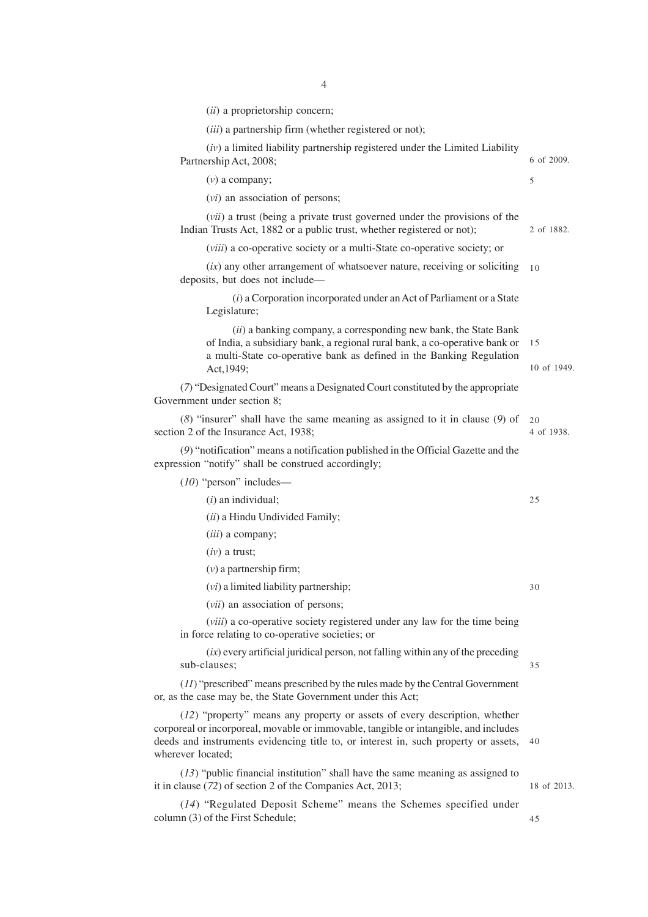(*ii*) a proprietorship concern;

(*iii*) a partnership firm (whether registered or not);

| $(iv)$ a limited liability partnership registered under the Limited Liability<br>Partnership Act, 2008;                                                                                                                                                                        | 6 of 2009.        |
|--------------------------------------------------------------------------------------------------------------------------------------------------------------------------------------------------------------------------------------------------------------------------------|-------------------|
| $(v)$ a company;                                                                                                                                                                                                                                                               | 5                 |
| $(vi)$ an association of persons;                                                                                                                                                                                                                                              |                   |
| ( <i>vii</i> ) a trust (being a private trust governed under the provisions of the<br>Indian Trusts Act, 1882 or a public trust, whether registered or not);                                                                                                                   | 2 of 1882.        |
| <i>(viii)</i> a co-operative society or a multi-State co-operative society; or                                                                                                                                                                                                 |                   |
| $(ix)$ any other arrangement of whatsoever nature, receiving or soliciting<br>deposits, but does not include—                                                                                                                                                                  | 10                |
| $(i)$ a Corporation incorporated under an Act of Parliament or a State<br>Legislature;                                                                                                                                                                                         |                   |
| (ii) a banking company, a corresponding new bank, the State Bank<br>of India, a subsidiary bank, a regional rural bank, a co-operative bank or<br>a multi-State co-operative bank as defined in the Banking Regulation<br>Act, 1949;                                           | 15<br>10 of 1949. |
| (7) "Designated Court" means a Designated Court constituted by the appropriate<br>Government under section 8;                                                                                                                                                                  |                   |
| $(8)$ "insurer" shall have the same meaning as assigned to it in clause $(9)$ of<br>section 2 of the Insurance Act, 1938;                                                                                                                                                      | 20<br>4 of 1938.  |
| (9) "notification" means a notification published in the Official Gazette and the<br>expression "notify" shall be construed accordingly;                                                                                                                                       |                   |
| (10) "person" includes-                                                                                                                                                                                                                                                        |                   |
| $(i)$ an individual;                                                                                                                                                                                                                                                           | 25                |
| (ii) a Hindu Undivided Family;                                                                                                                                                                                                                                                 |                   |
| ( <i>iii</i> ) a company;                                                                                                                                                                                                                                                      |                   |
| $(iv)$ a trust;                                                                                                                                                                                                                                                                |                   |
| $(v)$ a partnership firm;                                                                                                                                                                                                                                                      |                   |
| $(vi)$ a limited liability partnership;                                                                                                                                                                                                                                        | 30                |
| (vii) an association of persons;                                                                                                                                                                                                                                               |                   |
| ( <i>viii</i> ) a co-operative society registered under any law for the time being<br>in force relating to co-operative societies; or                                                                                                                                          |                   |
| $(ix)$ every artificial juridical person, not falling within any of the preceding<br>sub-clauses;                                                                                                                                                                              | 35                |
| $(11)$ "prescribed" means prescribed by the rules made by the Central Government<br>or, as the case may be, the State Government under this Act;                                                                                                                               |                   |
| (12) "property" means any property or assets of every description, whether<br>corporeal or incorporeal, movable or immovable, tangible or intangible, and includes<br>deeds and instruments evidencing title to, or interest in, such property or assets,<br>wherever located; | 40                |
| $(13)$ "public financial institution" shall have the same meaning as assigned to<br>it in clause (72) of section 2 of the Companies Act, 2013;                                                                                                                                 | 18 of 2013.       |
| (14) "Begylated Deposit Scheme" means the Schemes grapited under                                                                                                                                                                                                               |                   |

45

(*14*) "Regulated Deposit Scheme" means the Schemes specified under column (3) of the First Schedule;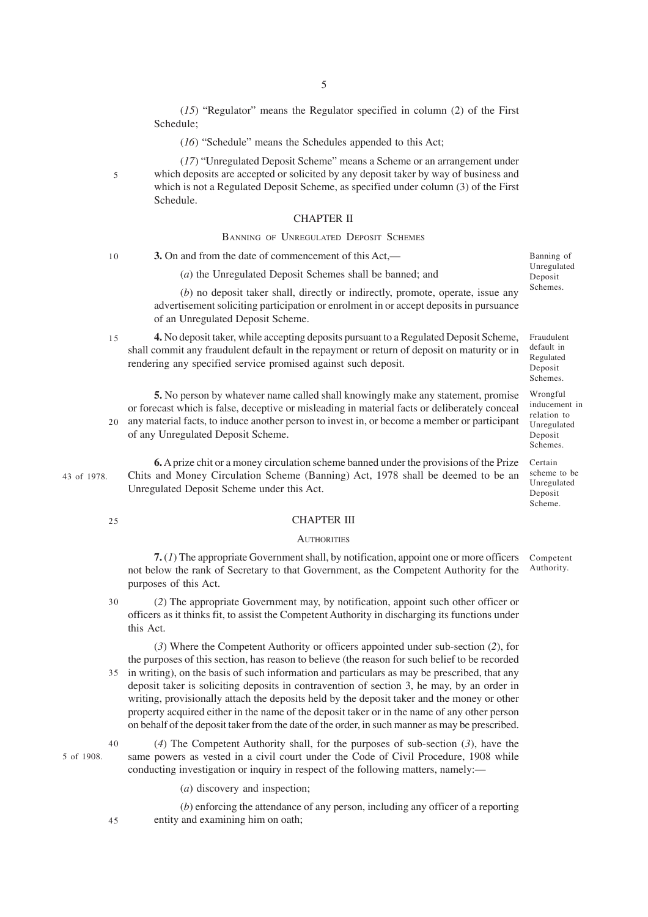(*15*) "Regulator" means the Regulator specified in column (2) of the First Schedule;

(*16*) "Schedule" means the Schedules appended to this Act;

(*17*) "Unregulated Deposit Scheme" means a Scheme or an arrangement under which deposits are accepted or solicited by any deposit taker by way of business and which is not a Regulated Deposit Scheme, as specified under column (3) of the First Schedule.

### CHAPTER II

### BANNING OF UNREGULATED DEPOSIT SCHEMES

**3.** On and from the date of commencement of this Act,— 10

(*a*) the Unregulated Deposit Schemes shall be banned; and

(*b*) no deposit taker shall, directly or indirectly, promote, operate, issue any advertisement soliciting participation or enrolment in or accept deposits in pursuance of an Unregulated Deposit Scheme.

**4.** No deposit taker, while accepting deposits pursuant to a Regulated Deposit Scheme, shall commit any fraudulent default in the repayment or return of deposit on maturity or in rendering any specified service promised against such deposit. 15

**5.** No person by whatever name called shall knowingly make any statement, promise or forecast which is false, deceptive or misleading in material facts or deliberately conceal any material facts, to induce another person to invest in, or become a member or participant of any Unregulated Deposit Scheme.

43 of 1978.

**6.** A prize chit or a money circulation scheme banned under the provisions of the Prize Chits and Money Circulation Scheme (Banning) Act, 1978 shall be deemed to be an Unregulated Deposit Scheme under this Act.

 $25$ 

20

5

### CHAPTER III

#### **AUTHORITIES**

**7.** (*1*) The appropriate Government shall, by notification, appoint one or more officers not below the rank of Secretary to that Government, as the Competent Authority for the purposes of this Act. Authority.

(*2*) The appropriate Government may, by notification, appoint such other officer or officers as it thinks fit, to assist the Competent Authority in discharging its functions under this Act. 30

(*3*) Where the Competent Authority or officers appointed under sub-section (*2*), for the purposes of this section, has reason to believe (the reason for such belief to be recorded in writing), on the basis of such information and particulars as may be prescribed, that any deposit taker is soliciting deposits in contravention of section 3, he may, by an order in writing, provisionally attach the deposits held by the deposit taker and the money or other property acquired either in the name of the deposit taker or in the name of any other person on behalf of the deposit taker from the date of the order, in such manner as may be prescribed. 35

5 of 1908.

(*4*) The Competent Authority shall, for the purposes of sub-section (*3*), have the same powers as vested in a civil court under the Code of Civil Procedure, 1908 while conducting investigation or inquiry in respect of the following matters, namely:—

(*a*) discovery and inspection;

(*b*) enforcing the attendance of any person, including any officer of a reporting entity and examining him on oath;

5

Banning of Unregulated Deposit Schemes.

Fraudulent default in Regulated Deposit Schemes.

Wrongful inducement in relation to Unregulated Deposit Schemes.

Certain scheme to be Unregulated Deposit Scheme.

Competent

45

 $40$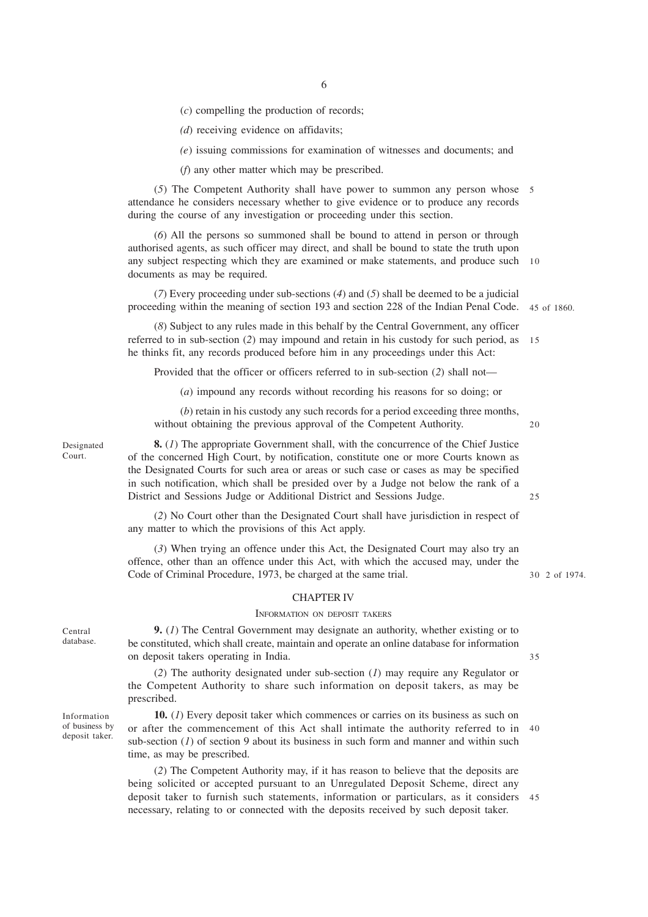(*c*) compelling the production of records;

*(d*) receiving evidence on affidavits;

*(e*) issuing commissions for examination of witnesses and documents; and

(*f*) any other matter which may be prescribed.

(*5*) The Competent Authority shall have power to summon any person whose 5 attendance he considers necessary whether to give evidence or to produce any records during the course of any investigation or proceeding under this section.

(*6*) All the persons so summoned shall be bound to attend in person or through authorised agents, as such officer may direct, and shall be bound to state the truth upon any subject respecting which they are examined or make statements, and produce such 10 documents as may be required.

(*7*) Every proceeding under sub-sections (*4*) and (*5*) shall be deemed to be a judicial proceeding within the meaning of section 193 and section 228 of the Indian Penal Code. 45 of 1860.

(*8*) Subject to any rules made in this behalf by the Central Government, any officer referred to in sub-section (*2*) may impound and retain in his custody for such period, as he thinks fit, any records produced before him in any proceedings under this Act: 15

Provided that the officer or officers referred to in sub-section (*2*) shall not—

(*a*) impound any records without recording his reasons for so doing; or

(*b*) retain in his custody any such records for a period exceeding three months, without obtaining the previous approval of the Competent Authority.

20

 $25$ 

Designated Court.

**8.** (*1*) The appropriate Government shall, with the concurrence of the Chief Justice of the concerned High Court, by notification, constitute one or more Courts known as the Designated Courts for such area or areas or such case or cases as may be specified in such notification, which shall be presided over by a Judge not below the rank of a District and Sessions Judge or Additional District and Sessions Judge.

(*2*) No Court other than the Designated Court shall have jurisdiction in respect of any matter to which the provisions of this Act apply.

(*3*) When trying an offence under this Act, the Designated Court may also try an offence, other than an offence under this Act, with which the accused may, under the Code of Criminal Procedure, 1973, be charged at the same trial.

## CHAPTER IV

#### INFORMATION ON DEPOSIT TAKERS

**9.** (*1*) The Central Government may designate an authority, whether existing or to be constituted, which shall create, maintain and operate an online database for information on deposit takers operating in India.

(*2*) The authority designated under sub-section (*1*) may require any Regulator or the Competent Authority to share such information on deposit takers, as may be prescribed.

**10.** (*1*) Every deposit taker which commences or carries on its business as such on or after the commencement of this Act shall intimate the authority referred to in 40 sub-section  $(1)$  of section 9 about its business in such form and manner and within such time, as may be prescribed.

(*2*) The Competent Authority may, if it has reason to believe that the deposits are being solicited or accepted pursuant to an Unregulated Deposit Scheme, direct any deposit taker to furnish such statements, information or particulars, as it considers 45necessary, relating to or connected with the deposits received by such deposit taker.

35

Information of business by deposit taker.

Central database.

2 of 1974. 30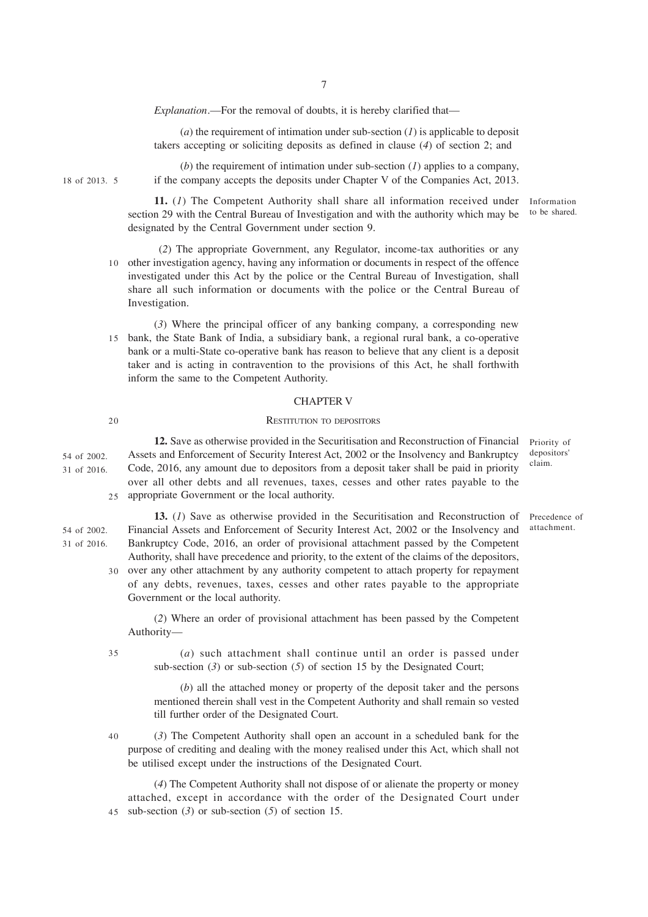*Explanation*.—For the removal of doubts, it is hereby clarified that—

(*a*) the requirement of intimation under sub-section (*1*) is applicable to deposit takers accepting or soliciting deposits as defined in clause (*4*) of section 2; and

(*b*) the requirement of intimation under sub-section (*1*) applies to a company, if the company accepts the deposits under Chapter V of the Companies Act, 2013.

**11.** (*1*) The Competent Authority shall share all information received under section 29 with the Central Bureau of Investigation and with the authority which may be designated by the Central Government under section 9.

- (*2*) The appropriate Government, any Regulator, income-tax authorities or any 10 other investigation agency, having any information or documents in respect of the offence investigated under this Act by the police or the Central Bureau of Investigation, shall share all such information or documents with the police or the Central Bureau of Investigation.
- (*3*) Where the principal officer of any banking company, a corresponding new bank, the State Bank of India, a subsidiary bank, a regional rural bank, a co-operative 15 bank or a multi-State co-operative bank has reason to believe that any client is a deposit taker and is acting in contravention to the provisions of this Act, he shall forthwith inform the same to the Competent Authority.

#### CHAPTER V

#### 20

18 of 2013. 5

#### RESTITUTION TO DEPOSITORS

**12.** Save as otherwise provided in the Securitisation and Reconstruction of Financial Assets and Enforcement of Security Interest Act, 2002 or the Insolvency and Bankruptcy Code, 2016, any amount due to depositors from a deposit taker shall be paid in priority over all other debts and all revenues, taxes, cesses and other rates payable to the 25 appropriate Government or the local authority. 54 of 2002. 31 of 2016.

**13.** (*1*) Save as otherwise provided in the Securitisation and Reconstruction of Financial Assets and Enforcement of Security Interest Act, 2002 or the Insolvency and Bankruptcy Code, 2016, an order of provisional attachment passed by the Competent Authority, shall have precedence and priority, to the extent of the claims of the depositors, 30 over any other attachment by any authority competent to attach property for repayment of any debts, revenues, taxes, cesses and other rates payable to the appropriate 54 of 2002. 31 of 2016.

> (*2*) Where an order of provisional attachment has been passed by the Competent Authority—

35

Government or the local authority.

(*a*) such attachment shall continue until an order is passed under sub-section (*3*) or sub-section (*5*) of section 15 by the Designated Court;

(*b*) all the attached money or property of the deposit taker and the persons mentioned therein shall vest in the Competent Authority and shall remain so vested till further order of the Designated Court.

(*3*) The Competent Authority shall open an account in a scheduled bank for the purpose of crediting and dealing with the money realised under this Act, which shall not be utilised except under the instructions of the Designated Court. 40

(*4*) The Competent Authority shall not dispose of or alienate the property or money attached, except in accordance with the order of the Designated Court under sub-section (*3*) or sub-section (*5*) of section 15. 45

Priority of depositors' claim.

Precedence of attachment.

Information to be shared.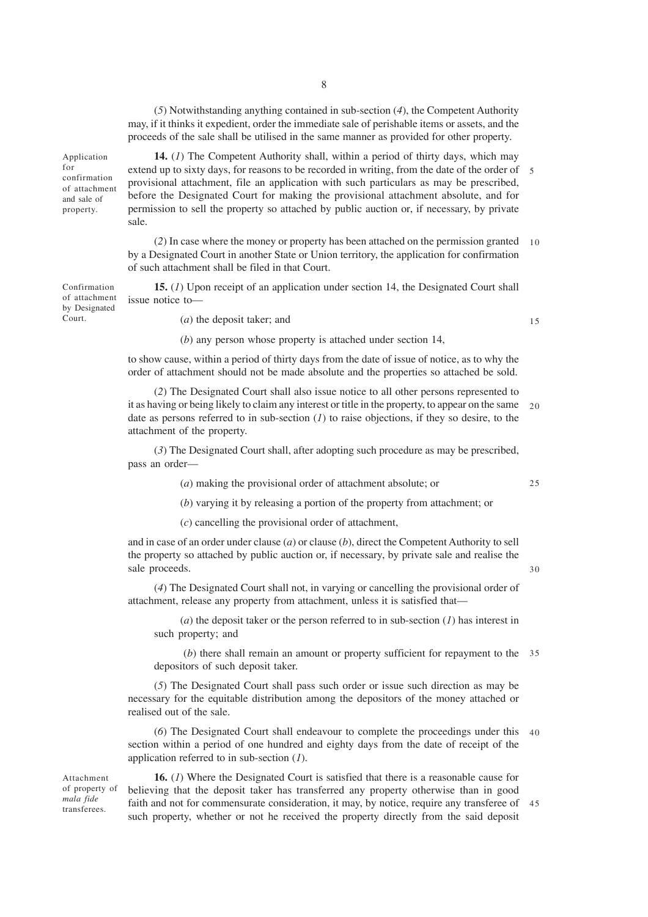(*5*) Notwithstanding anything contained in sub-section (*4*), the Competent Authority may, if it thinks it expedient, order the immediate sale of perishable items or assets, and the proceeds of the sale shall be utilised in the same manner as provided for other property.

Application for confirmation of attachment and sale of property.

Court.

**14.** (*1*) The Competent Authority shall, within a period of thirty days, which may extend up to sixty days, for reasons to be recorded in writing, from the date of the order of 5 provisional attachment, file an application with such particulars as may be prescribed, before the Designated Court for making the provisional attachment absolute, and for permission to sell the property so attached by public auction or, if necessary, by private sale.

(*2*) In case where the money or property has been attached on the permission granted by a Designated Court in another State or Union territory, the application for confirmation of such attachment shall be filed in that Court. 10

**15.** (*1*) Upon receipt of an application under section 14, the Designated Court shall issue notice to— Confirmation of attachment by Designated

(*a*) the deposit taker; and

(*b*) any person whose property is attached under section 14,

to show cause, within a period of thirty days from the date of issue of notice, as to why the order of attachment should not be made absolute and the properties so attached be sold.

(*2*) The Designated Court shall also issue notice to all other persons represented to it as having or being likely to claim any interest or title in the property, to appear on the same date as persons referred to in sub-section (*1*) to raise objections, if they so desire, to the attachment of the property.  $20$ 

(*3*) The Designated Court shall, after adopting such procedure as may be prescribed, pass an order—

(*a*) making the provisional order of attachment absolute; or

25

30

15

(*b*) varying it by releasing a portion of the property from attachment; or

(*c*) cancelling the provisional order of attachment,

and in case of an order under clause (*a*) or clause (*b*), direct the Competent Authority to sell the property so attached by public auction or, if necessary, by private sale and realise the sale proceeds.

(*4*) The Designated Court shall not, in varying or cancelling the provisional order of attachment, release any property from attachment, unless it is satisfied that—

(*a*) the deposit taker or the person referred to in sub-section (*1*) has interest in such property; and

(*b*) there shall remain an amount or property sufficient for repayment to the 35 depositors of such deposit taker.

(*5*) The Designated Court shall pass such order or issue such direction as may be necessary for the equitable distribution among the depositors of the money attached or realised out of the sale.

(*6*) The Designated Court shall endeavour to complete the proceedings under this section within a period of one hundred and eighty days from the date of receipt of the application referred to in sub-section (*1*). 40

Attachment of property of *mala fide* transferees.

**16.** (*1*) Where the Designated Court is satisfied that there is a reasonable cause for believing that the deposit taker has transferred any property otherwise than in good faith and not for commensurate consideration, it may, by notice, require any transferee of such property, whether or not he received the property directly from the said deposit 45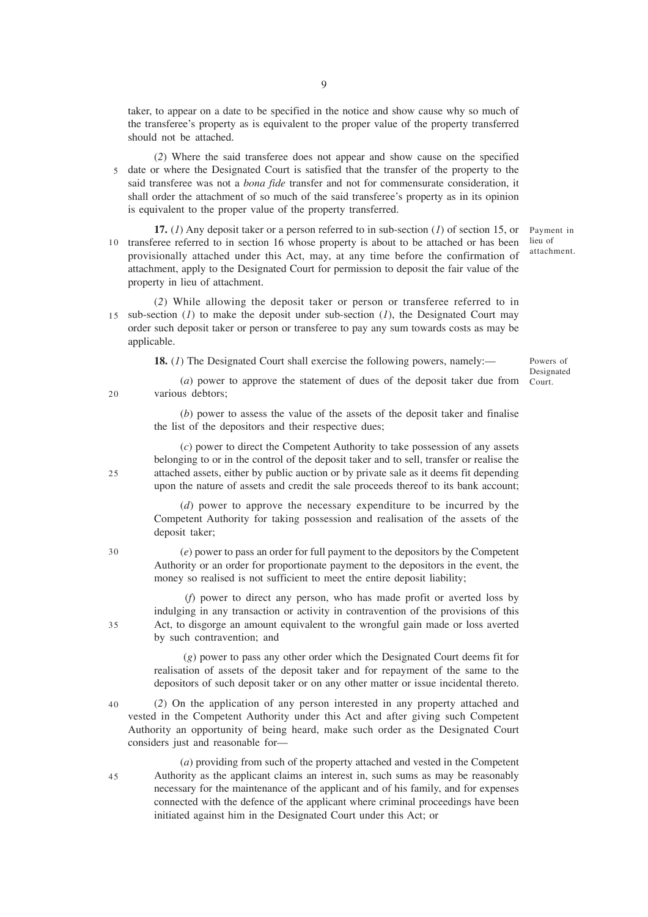taker, to appear on a date to be specified in the notice and show cause why so much of the transferee's property as is equivalent to the proper value of the property transferred should not be attached.

(*2*) Where the said transferee does not appear and show cause on the specified 5 date or where the Designated Court is satisfied that the transfer of the property to the said transferee was not a *bona fide* transfer and not for commensurate consideration, it shall order the attachment of so much of the said transferee's property as in its opinion is equivalent to the proper value of the property transferred.

**17.** (*1*) Any deposit taker or a person referred to in sub-section (*1*) of section 15, or 10 transferee referred to in section 16 whose property is about to be attached or has been provisionally attached under this Act, may, at any time before the confirmation of attachment, apply to the Designated Court for permission to deposit the fair value of the property in lieu of attachment.

Payment in lieu of attachment.

(*2*) While allowing the deposit taker or person or transferee referred to in 15 sub-section  $(I)$  to make the deposit under sub-section  $(I)$ , the Designated Court may order such deposit taker or person or transferee to pay any sum towards costs as may be applicable.

**18.** (*1*) The Designated Court shall exercise the following powers, namely:—

(*a*) power to approve the statement of dues of the deposit taker due from Court. Powers of Designated

various debtors;

(*b*) power to assess the value of the assets of the deposit taker and finalise the list of the depositors and their respective dues;

(*c*) power to direct the Competent Authority to take possession of any assets belonging to or in the control of the deposit taker and to sell, transfer or realise the attached assets, either by public auction or by private sale as it deems fit depending upon the nature of assets and credit the sale proceeds thereof to its bank account;

(*d*) power to approve the necessary expenditure to be incurred by the Competent Authority for taking possession and realisation of the assets of the deposit taker;

(*e*) power to pass an order for full payment to the depositors by the Competent Authority or an order for proportionate payment to the depositors in the event, the money so realised is not sufficient to meet the entire deposit liability;

 (*f*) power to direct any person, who has made profit or averted loss by indulging in any transaction or activity in contravention of the provisions of this Act, to disgorge an amount equivalent to the wrongful gain made or loss averted by such contravention; and

 (*g*) power to pass any other order which the Designated Court deems fit for realisation of assets of the deposit taker and for repayment of the same to the depositors of such deposit taker or on any other matter or issue incidental thereto.

(*2*) On the application of any person interested in any property attached and vested in the Competent Authority under this Act and after giving such Competent Authority an opportunity of being heard, make such order as the Designated Court considers just and reasonable for— 40

(*a*) providing from such of the property attached and vested in the Competent Authority as the applicant claims an interest in, such sums as may be reasonably necessary for the maintenance of the applicant and of his family, and for expenses connected with the defence of the applicant where criminal proceedings have been initiated against him in the Designated Court under this Act; or

 $20$ 

30

25

35

45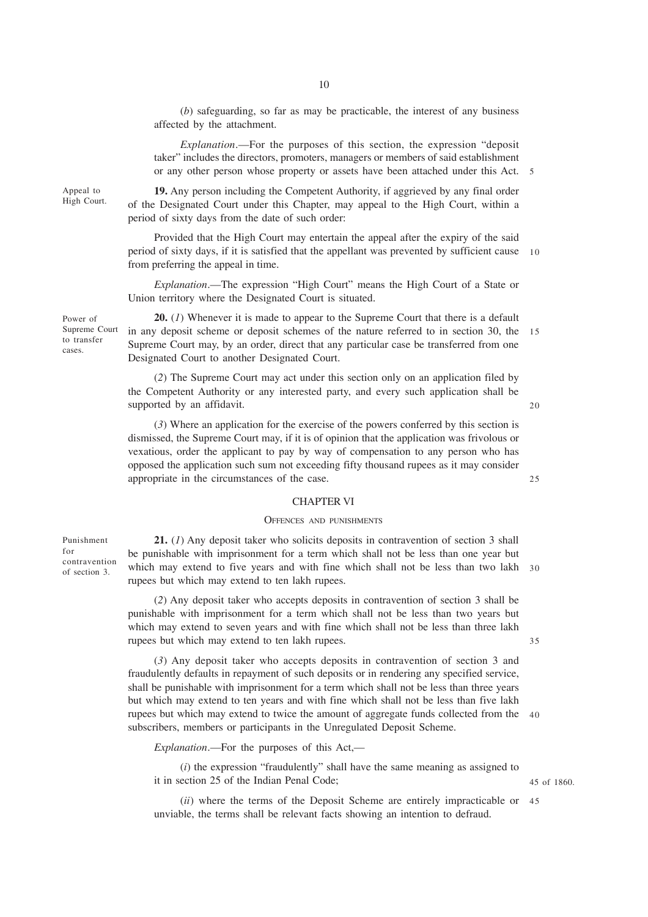10

(*b*) safeguarding, so far as may be practicable, the interest of any business affected by the attachment.

*Explanation*.—For the purposes of this section, the expression "deposit taker" includes the directors, promoters, managers or members of said establishment or any other person whose property or assets have been attached under this Act. 5

**19.** Any person including the Competent Authority, if aggrieved by any final order of the Designated Court under this Chapter, may appeal to the High Court, within a period of sixty days from the date of such order:

Provided that the High Court may entertain the appeal after the expiry of the said period of sixty days, if it is satisfied that the appellant was prevented by sufficient cause 10 from preferring the appeal in time.

*Explanation*.—The expression "High Court" means the High Court of a State or Union territory where the Designated Court is situated.

**20.** (*1*) Whenever it is made to appear to the Supreme Court that there is a default in any deposit scheme or deposit schemes of the nature referred to in section 30, the 15 Supreme Court may, by an order, direct that any particular case be transferred from one Designated Court to another Designated Court.

(*2*) The Supreme Court may act under this section only on an application filed by the Competent Authority or any interested party, and every such application shall be supported by an affidavit.

(*3*) Where an application for the exercise of the powers conferred by this section is dismissed, the Supreme Court may, if it is of opinion that the application was frivolous or vexatious, order the applicant to pay by way of compensation to any person who has opposed the application such sum not exceeding fifty thousand rupees as it may consider appropriate in the circumstances of the case.

### CHAPTER VI

#### OFFENCES AND PUNISHMENTS

Punishment for contravention of section 3.

**21.** (*1*) Any deposit taker who solicits deposits in contravention of section 3 shall be punishable with imprisonment for a term which shall not be less than one year but which may extend to five years and with fine which shall not be less than two lakh 30 rupees but which may extend to ten lakh rupees.

(*2*) Any deposit taker who accepts deposits in contravention of section 3 shall be punishable with imprisonment for a term which shall not be less than two years but which may extend to seven years and with fine which shall not be less than three lakh rupees but which may extend to ten lakh rupees.

(*3*) Any deposit taker who accepts deposits in contravention of section 3 and fraudulently defaults in repayment of such deposits or in rendering any specified service, shall be punishable with imprisonment for a term which shall not be less than three years but which may extend to ten years and with fine which shall not be less than five lakh rupees but which may extend to twice the amount of aggregate funds collected from the 40 subscribers, members or participants in the Unregulated Deposit Scheme.

*Explanation*.—For the purposes of this Act,—

(*i*) the expression "fraudulently" shall have the same meaning as assigned to it in section 25 of the Indian Penal Code;

(*ii*) where the terms of the Deposit Scheme are entirely impracticable or 45unviable, the terms shall be relevant facts showing an intention to defraud.

Appeal to High Court.

Power of Supreme Court to transfer cases.

20

25

35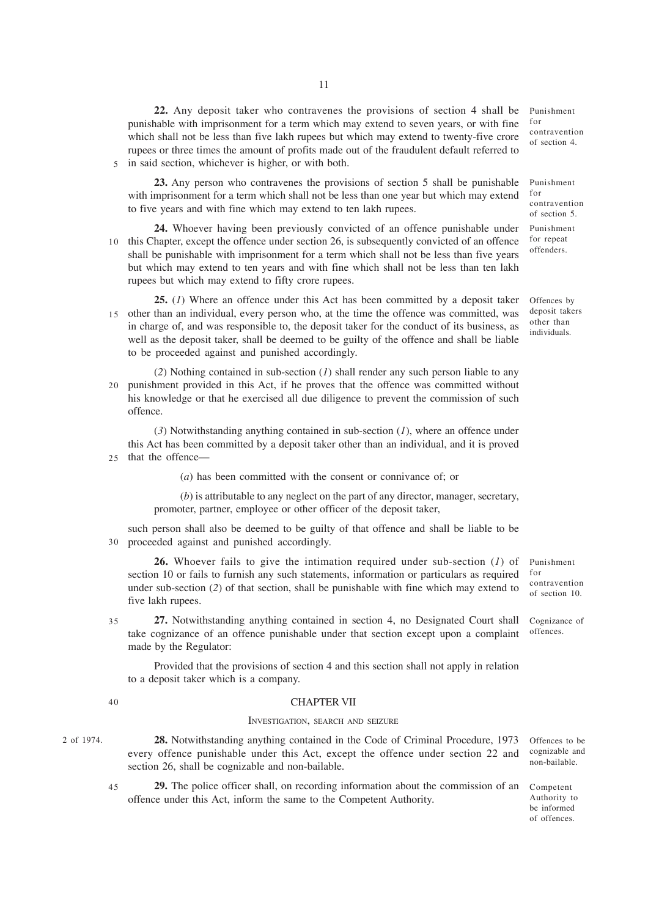**22.** Any deposit taker who contravenes the provisions of section 4 shall be punishable with imprisonment for a term which may extend to seven years, or with fine which shall not be less than five lakh rupees but which may extend to twenty-five crore rupees or three times the amount of profits made out of the fraudulent default referred to 5 in said section, whichever is higher, or with both.

**23.** Any person who contravenes the provisions of section 5 shall be punishable with imprisonment for a term which shall not be less than one year but which may extend to five years and with fine which may extend to ten lakh rupees.

**24.** Whoever having been previously convicted of an offence punishable under 10 this Chapter, except the offence under section 26, is subsequently convicted of an offence shall be punishable with imprisonment for a term which shall not be less than five years but which may extend to ten years and with fine which shall not be less than ten lakh rupees but which may extend to fifty crore rupees.

- **25.** (*1*) Where an offence under this Act has been committed by a deposit taker 15 other than an individual, every person who, at the time the offence was committed, was in charge of, and was responsible to, the deposit taker for the conduct of its business, as well as the deposit taker, shall be deemed to be guilty of the offence and shall be liable to be proceeded against and punished accordingly.
- (*2*) Nothing contained in sub-section (*1*) shall render any such person liable to any punishment provided in this Act, if he proves that the offence was committed without his knowledge or that he exercised all due diligence to prevent the commission of such offence. 20

(*3*) Notwithstanding anything contained in sub-section (*1*), where an offence under this Act has been committed by a deposit taker other than an individual, and it is proved 25 that the offence—

(*a*) has been committed with the consent or connivance of; or

(*b*) is attributable to any neglect on the part of any director, manager, secretary, promoter, partner, employee or other officer of the deposit taker,

such person shall also be deemed to be guilty of that offence and shall be liable to be proceeded against and punished accordingly. 30

**26.** Whoever fails to give the intimation required under sub-section (*1*) of section 10 or fails to furnish any such statements, information or particulars as required under sub-section (*2*) of that section, shall be punishable with fine which may extend to five lakh rupees.

**27.** Notwithstanding anything contained in section 4, no Designated Court shall take cognizance of an offence punishable under that section except upon a complaint made by the Regulator: Cognizance of offences. 35

Provided that the provisions of section 4 and this section shall not apply in relation to a deposit taker which is a company.

40

#### CHAPTER VII

#### INVESTIGATION, SEARCH AND SEIZURE

2 of 1974. **28.** Notwithstanding anything contained in the Code of Criminal Procedure, 1973 Offences to be every offence punishable under this Act, except the offence under section 22 and section 26, shall be cognizable and non-bailable.

**29.** The police officer shall, on recording information about the commission of an offence under this Act, inform the same to the Competent Authority. 45

Punishment for contravention of section 4.

Punishment for contravention of section 5.

Punishment for repeat offenders.

Offences by deposit takers other than individuals.

Punishment for contravention of section 10.

cognizable and non-bailable.

Competent Authority to be informed of offences.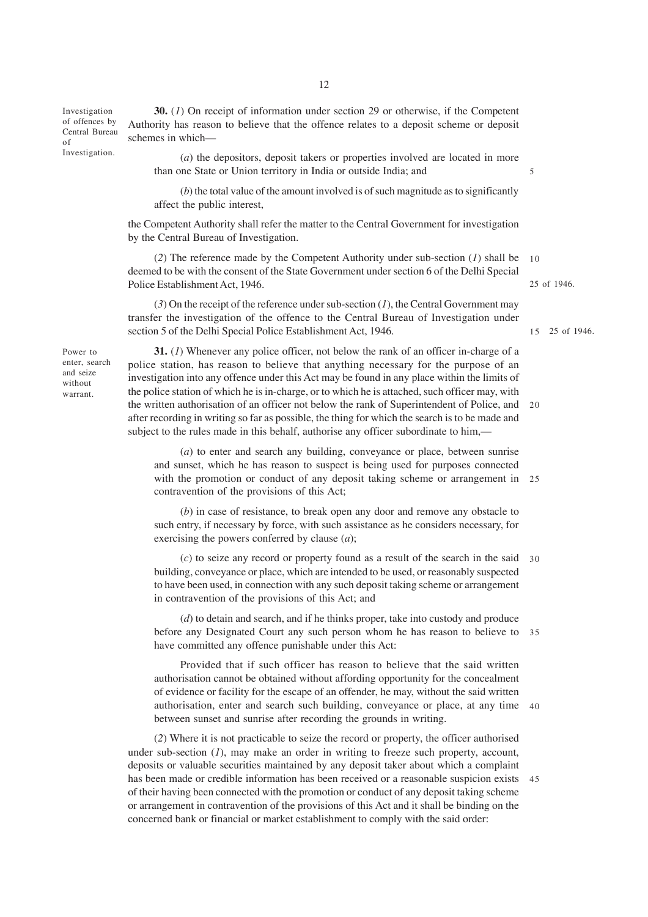Investigation of offences by Central Bureau of Investigation.

**30.** (*1*) On receipt of information under section 29 or otherwise, if the Competent Authority has reason to believe that the offence relates to a deposit scheme or deposit schemes in which—

(*a*) the depositors, deposit takers or properties involved are located in more than one State or Union territory in India or outside India; and

(*b*) the total value of the amount involved is of such magnitude as to significantly affect the public interest,

the Competent Authority shall refer the matter to the Central Government for investigation by the Central Bureau of Investigation.

(*2*) The reference made by the Competent Authority under sub-section (*1*) shall be deemed to be with the consent of the State Government under section 6 of the Delhi Special Police Establishment Act, 1946. 25 of 1946. 10

25 of 1946. 15

5

(*3*) On the receipt of the reference under sub-section (*1*), the Central Government may transfer the investigation of the offence to the Central Bureau of Investigation under section 5 of the Delhi Special Police Establishment Act, 1946.

Power to enter, search and seize without warrant.

**31.** (*1*) Whenever any police officer, not below the rank of an officer in-charge of a police station, has reason to believe that anything necessary for the purpose of an investigation into any offence under this Act may be found in any place within the limits of the police station of which he is in-charge, or to which he is attached, such officer may, with the written authorisation of an officer not below the rank of Superintendent of Police, and 20 after recording in writing so far as possible, the thing for which the search is to be made and subject to the rules made in this behalf, authorise any officer subordinate to him,—

(*a*) to enter and search any building, conveyance or place, between sunrise and sunset, which he has reason to suspect is being used for purposes connected with the promotion or conduct of any deposit taking scheme or arrangement in 25 contravention of the provisions of this Act;

(*b*) in case of resistance, to break open any door and remove any obstacle to such entry, if necessary by force, with such assistance as he considers necessary, for exercising the powers conferred by clause (*a*);

(*c*) to seize any record or property found as a result of the search in the said 30 building, conveyance or place, which are intended to be used, or reasonably suspected to have been used, in connection with any such deposit taking scheme or arrangement in contravention of the provisions of this Act; and

(*d*) to detain and search, and if he thinks proper, take into custody and produce before any Designated Court any such person whom he has reason to believe to 35 have committed any offence punishable under this Act:

Provided that if such officer has reason to believe that the said written authorisation cannot be obtained without affording opportunity for the concealment of evidence or facility for the escape of an offender, he may, without the said written authorisation, enter and search such building, conveyance or place, at any time 40 between sunset and sunrise after recording the grounds in writing.

(*2*) Where it is not practicable to seize the record or property, the officer authorised under sub-section  $(I)$ , may make an order in writing to freeze such property, account, deposits or valuable securities maintained by any deposit taker about which a complaint has been made or credible information has been received or a reasonable suspicion exists of their having been connected with the promotion or conduct of any deposit taking scheme or arrangement in contravention of the provisions of this Act and it shall be binding on the concerned bank or financial or market establishment to comply with the said order: 45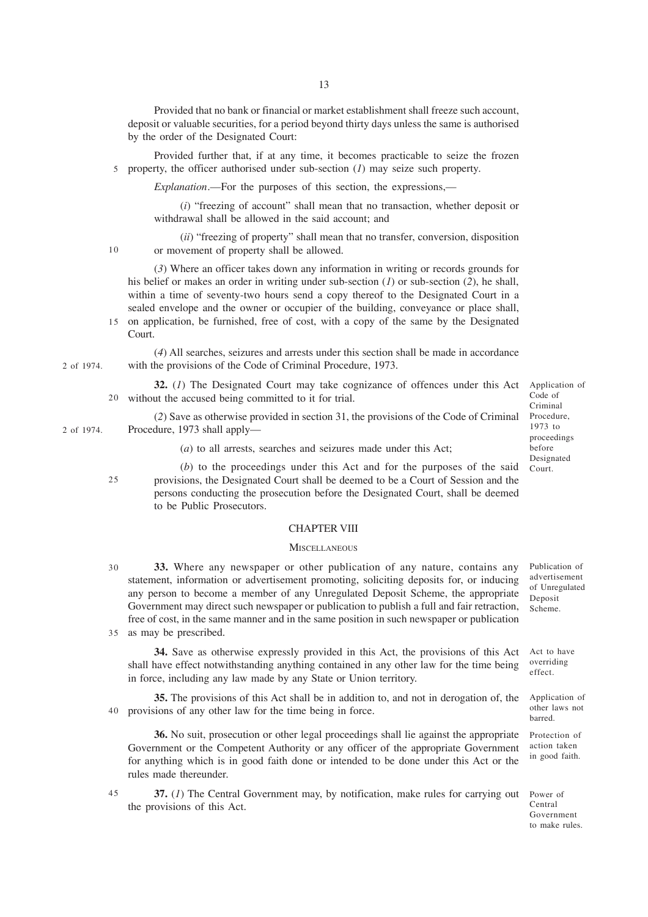Provided that no bank or financial or market establishment shall freeze such account, deposit or valuable securities, for a period beyond thirty days unless the same is authorised by the order of the Designated Court:

Provided further that, if at any time, it becomes practicable to seize the frozen property, the officer authorised under sub-section (*1*) may seize such property. 5

*Explanation*.—For the purposes of this section, the expressions,—

(*i*) "freezing of account" shall mean that no transaction, whether deposit or withdrawal shall be allowed in the said account; and

(*ii*) "freezing of property" shall mean that no transfer, conversion, disposition or movement of property shall be allowed. 10

(*3*) Where an officer takes down any information in writing or records grounds for his belief or makes an order in writing under sub-section (*1*) or sub-section (*2*), he shall, within a time of seventy-two hours send a copy thereof to the Designated Court in a sealed envelope and the owner or occupier of the building, conveyance or place shall,

15 on application, be furnished, free of cost, with a copy of the same by the Designated Court.

(*4*) All searches, seizures and arrests under this section shall be made in accordance with the provisions of the Code of Criminal Procedure, 1973. 2 of 1974.

**32.** (*1*) The Designated Court may take cognizance of offences under this Act without the accused being committed to it for trial. 20

(*2*) Save as otherwise provided in section 31, the provisions of the Code of Criminal Procedure, 1973 shall apply— 2 of 1974.

(*a*) to all arrests, searches and seizures made under this Act;

(*b*) to the proceedings under this Act and for the purposes of the said provisions, the Designated Court shall be deemed to be a Court of Session and the persons conducting the prosecution before the Designated Court, shall be deemed to be Public Prosecutors. 25

### CHAPTER VIII

#### **MISCELLANEOUS**

**33.** Where any newspaper or other publication of any nature, contains any statement, information or advertisement promoting, soliciting deposits for, or inducing any person to become a member of any Unregulated Deposit Scheme, the appropriate Government may direct such newspaper or publication to publish a full and fair retraction, free of cost, in the same manner and in the same position in such newspaper or publication as may be prescribed. 35 30

**34.** Save as otherwise expressly provided in this Act, the provisions of this Act shall have effect notwithstanding anything contained in any other law for the time being in force, including any law made by any State or Union territory.

**35.** The provisions of this Act shall be in addition to, and not in derogation of, the provisions of any other law for the time being in force. 40

**36.** No suit, prosecution or other legal proceedings shall lie against the appropriate Government or the Competent Authority or any officer of the appropriate Government for anything which is in good faith done or intended to be done under this Act or the rules made thereunder.

**37.** (*1*) The Central Government may, by notification, make rules for carrying out the provisions of this Act. 45

Application of Code of Criminal Procedure, 1973 to proceedings before Designated Court.

Publication of advertisement of Unregulated Deposit Scheme.

Act to have overriding effect.

Application of other laws not barred.

Protection of action taken in good faith.

Power of Central Government to make rules.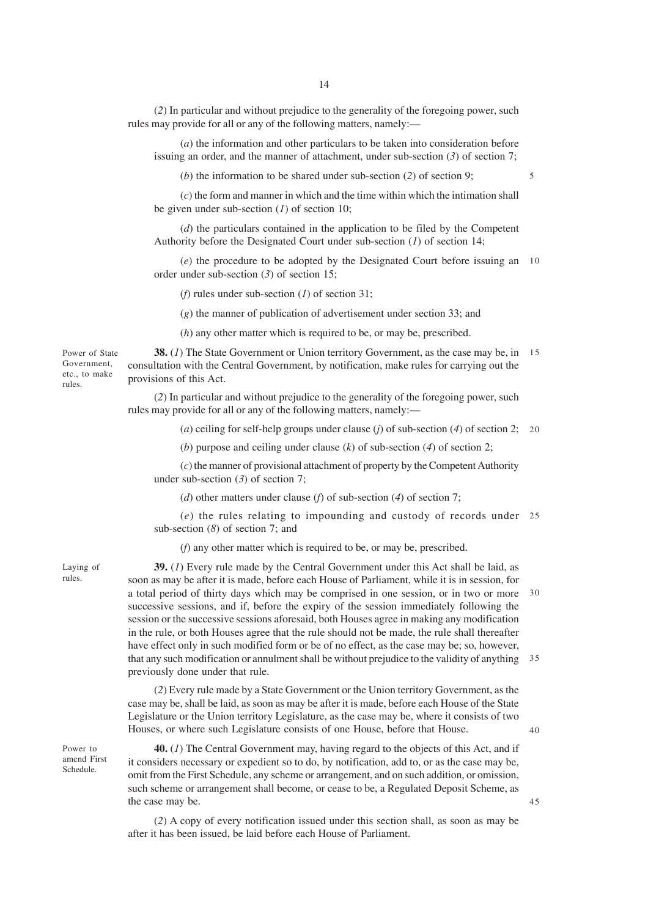(*2*) In particular and without prejudice to the generality of the foregoing power, such rules may provide for all or any of the following matters, namely:—

(*a*) the information and other particulars to be taken into consideration before issuing an order, and the manner of attachment, under sub-section (*3*) of section 7;

(*b*) the information to be shared under sub-section (*2*) of section 9;

(*c*) the form and manner in which and the time within which the intimation shall be given under sub-section (*1*) of section 10;

(*d*) the particulars contained in the application to be filed by the Competent Authority before the Designated Court under sub-section (*1*) of section 14;

(*e*) the procedure to be adopted by the Designated Court before issuing an 10 order under sub-section (*3*) of section 15;

(*f*) rules under sub-section (*1*) of section 31;

(*g*) the manner of publication of advertisement under section 33; and

(*h*) any other matter which is required to be, or may be, prescribed.

**38.** (*1*) The State Government or Union territory Government, as the case may be, in 15 consultation with the Central Government, by notification, make rules for carrying out the provisions of this Act.

(*2*) In particular and without prejudice to the generality of the foregoing power, such rules may provide for all or any of the following matters, namely:—

(*a*) ceiling for self-help groups under clause (*j*) of sub-section (*4*) of section 2; 20

(*b*) purpose and ceiling under clause (*k*) of sub-section (*4*) of section 2;

(*c*) the manner of provisional attachment of property by the Competent Authority under sub-section (*3*) of section 7;

(*d*) other matters under clause (*f*) of sub-section (*4*) of section 7;

(*e*) the rules relating to impounding and custody of records under 25 sub-section (*8*) of section 7; and

(*f*) any other matter which is required to be, or may be, prescribed.

Laying of rules.

**39.** (*1*) Every rule made by the Central Government under this Act shall be laid, as soon as may be after it is made, before each House of Parliament, while it is in session, for a total period of thirty days which may be comprised in one session, or in two or more 30 successive sessions, and if, before the expiry of the session immediately following the session or the successive sessions aforesaid, both Houses agree in making any modification in the rule, or both Houses agree that the rule should not be made, the rule shall thereafter have effect only in such modified form or be of no effect, as the case may be; so, however, that any such modification or annulment shall be without prejudice to the validity of anything 35 previously done under that rule.

(*2*) Every rule made by a State Government or the Union territory Government, as the case may be, shall be laid, as soon as may be after it is made, before each House of the State Legislature or the Union territory Legislature, as the case may be, where it consists of two Houses, or where such Legislature consists of one House, before that House.

Power to amend First Schedule.

**40.** (*1*) The Central Government may, having regard to the objects of this Act, and if it considers necessary or expedient so to do, by notification, add to, or as the case may be, omit from the First Schedule, any scheme or arrangement, and on such addition, or omission, such scheme or arrangement shall become, or cease to be, a Regulated Deposit Scheme, as the case may be.

(*2*) A copy of every notification issued under this section shall, as soon as may be after it has been issued, be laid before each House of Parliament.

5

Power of State Government, etc., to make rules.

40

45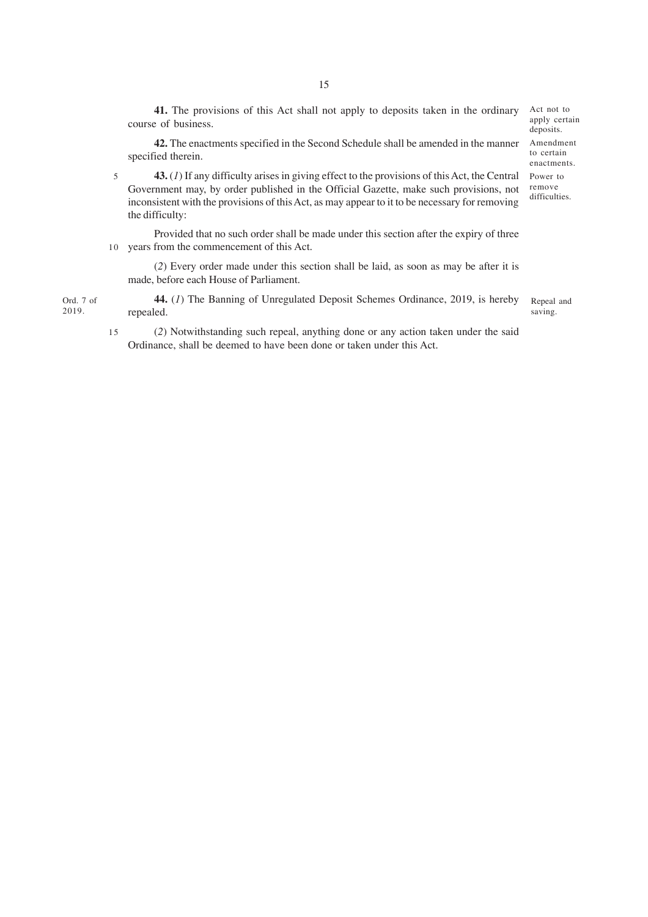**41.** The provisions of this Act shall not apply to deposits taken in the ordinary course of business.

**42.** The enactments specified in the Second Schedule shall be amended in the manner specified therein.

**43.** (*1*) If any difficulty arises in giving effect to the provisions of this Act, the Central Government may, by order published in the Official Gazette, make such provisions, not inconsistent with the provisions of this Act, as may appear to it to be necessary for removing the difficulty: 5

Provided that no such order shall be made under this section after the expiry of three 10 years from the commencement of this Act.

(*2*) Every order made under this section shall be laid, as soon as may be after it is made, before each House of Parliament.

**44.** (*1*) The Banning of Unregulated Deposit Schemes Ordinance, 2019, is hereby repealed. saving. Ord. 7 of

2019.

15

(*2*) Notwithstanding such repeal, anything done or any action taken under the said Ordinance, shall be deemed to have been done or taken under this Act.

Act not to apply certain deposits.

Amendment to certain enactments.

Power to remove difficulties.

Repeal and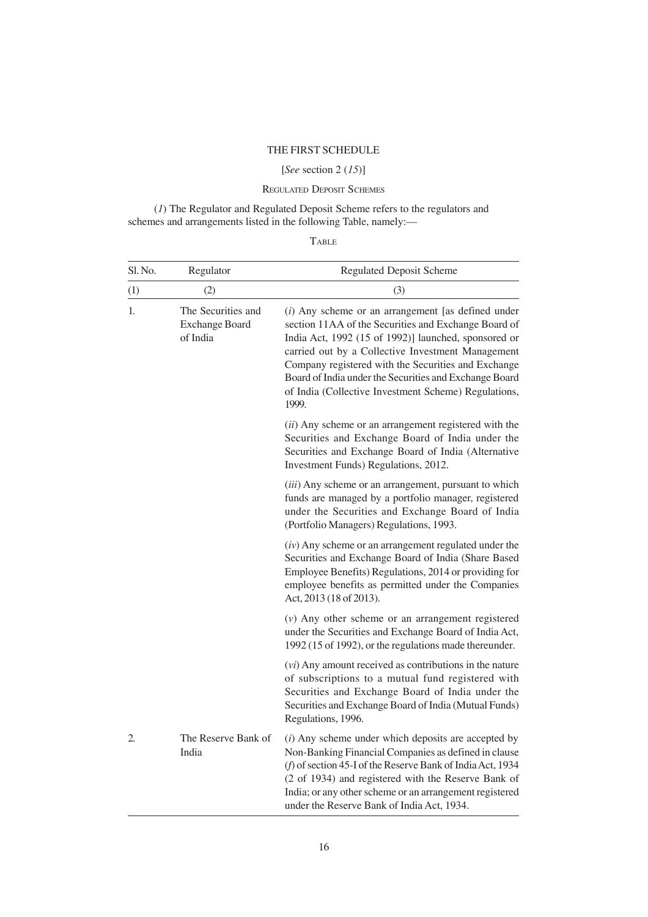## THE FIRST SCHEDULE

## [*See* section 2 (*15*)]

## REGULATED DEPOSIT SCHEMES

(*1*) The Regulator and Regulated Deposit Scheme refers to the regulators and schemes and arrangements listed in the following Table, namely:—

| Sl. No. | Regulator                                               | <b>Regulated Deposit Scheme</b>                                                                                                                                                                                                                                                                                                                                                                             |
|---------|---------------------------------------------------------|-------------------------------------------------------------------------------------------------------------------------------------------------------------------------------------------------------------------------------------------------------------------------------------------------------------------------------------------------------------------------------------------------------------|
| (1)     | (2)                                                     | (3)                                                                                                                                                                                                                                                                                                                                                                                                         |
| 1.      | The Securities and<br><b>Exchange Board</b><br>of India | $(i)$ Any scheme or an arrangement [as defined under<br>section 11AA of the Securities and Exchange Board of<br>India Act, 1992 (15 of 1992)] launched, sponsored or<br>carried out by a Collective Investment Management<br>Company registered with the Securities and Exchange<br>Board of India under the Securities and Exchange Board<br>of India (Collective Investment Scheme) Regulations,<br>1999. |
|         |                                                         | (ii) Any scheme or an arrangement registered with the<br>Securities and Exchange Board of India under the<br>Securities and Exchange Board of India (Alternative<br>Investment Funds) Regulations, 2012.                                                                                                                                                                                                    |
|         |                                                         | (iii) Any scheme or an arrangement, pursuant to which<br>funds are managed by a portfolio manager, registered<br>under the Securities and Exchange Board of India<br>(Portfolio Managers) Regulations, 1993.                                                                                                                                                                                                |
|         |                                                         | $(iv)$ Any scheme or an arrangement regulated under the<br>Securities and Exchange Board of India (Share Based<br>Employee Benefits) Regulations, 2014 or providing for<br>employee benefits as permitted under the Companies<br>Act, 2013 (18 of 2013).                                                                                                                                                    |
|         |                                                         | $(v)$ Any other scheme or an arrangement registered<br>under the Securities and Exchange Board of India Act,<br>1992 (15 of 1992), or the regulations made thereunder.                                                                                                                                                                                                                                      |
|         |                                                         | $(vi)$ Any amount received as contributions in the nature<br>of subscriptions to a mutual fund registered with<br>Securities and Exchange Board of India under the<br>Securities and Exchange Board of India (Mutual Funds)<br>Regulations, 1996.                                                                                                                                                           |
| 2.      | The Reserve Bank of<br>India                            | $(i)$ Any scheme under which deposits are accepted by<br>Non-Banking Financial Companies as defined in clause<br>(f) of section 45-I of the Reserve Bank of India Act, 1934<br>(2 of 1934) and registered with the Reserve Bank of<br>India; or any other scheme or an arrangement registered<br>under the Reserve Bank of India Act, 1934.                                                                 |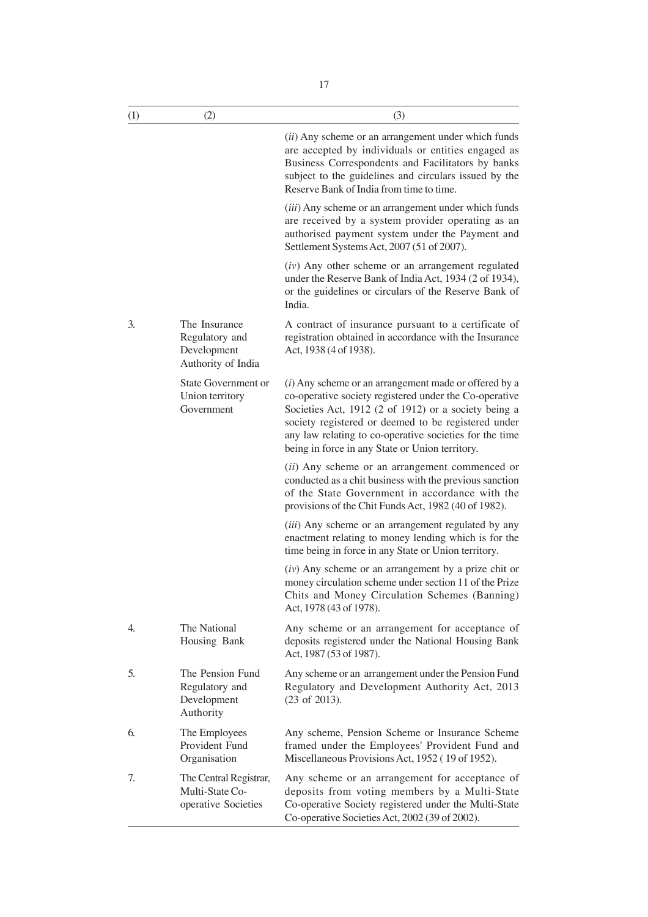| (1) | (2)                                                                  | (3)                                                                                                                                                                                                                                                                                                                                            |
|-----|----------------------------------------------------------------------|------------------------------------------------------------------------------------------------------------------------------------------------------------------------------------------------------------------------------------------------------------------------------------------------------------------------------------------------|
|     |                                                                      | $(ii)$ Any scheme or an arrangement under which funds<br>are accepted by individuals or entities engaged as<br>Business Correspondents and Facilitators by banks<br>subject to the guidelines and circulars issued by the<br>Reserve Bank of India from time to time.                                                                          |
|     |                                                                      | (iii) Any scheme or an arrangement under which funds<br>are received by a system provider operating as an<br>authorised payment system under the Payment and<br>Settlement Systems Act, 2007 (51 of 2007).                                                                                                                                     |
|     |                                                                      | $(iv)$ Any other scheme or an arrangement regulated<br>under the Reserve Bank of India Act, 1934 (2 of 1934),<br>or the guidelines or circulars of the Reserve Bank of<br>India.                                                                                                                                                               |
| 3.  | The Insurance<br>Regulatory and<br>Development<br>Authority of India | A contract of insurance pursuant to a certificate of<br>registration obtained in accordance with the Insurance<br>Act, 1938 (4 of 1938).                                                                                                                                                                                                       |
|     | State Government or<br>Union territory<br>Government                 | $(i)$ Any scheme or an arrangement made or offered by a<br>co-operative society registered under the Co-operative<br>Societies Act, 1912 (2 of 1912) or a society being a<br>society registered or deemed to be registered under<br>any law relating to co-operative societies for the time<br>being in force in any State or Union territory. |
|     |                                                                      | (ii) Any scheme or an arrangement commenced or<br>conducted as a chit business with the previous sanction<br>of the State Government in accordance with the<br>provisions of the Chit Funds Act, 1982 (40 of 1982).                                                                                                                            |
|     |                                                                      | ( <i>iii</i> ) Any scheme or an arrangement regulated by any<br>enactment relating to money lending which is for the<br>time being in force in any State or Union territory.                                                                                                                                                                   |
|     |                                                                      | $(iv)$ Any scheme or an arrangement by a prize chit or<br>money circulation scheme under section 11 of the Prize<br>Chits and Money Circulation Schemes (Banning)<br>Act, 1978 (43 of 1978).                                                                                                                                                   |
| 4.  | The National<br>Housing Bank                                         | Any scheme or an arrangement for acceptance of<br>deposits registered under the National Housing Bank<br>Act, 1987 (53 of 1987).                                                                                                                                                                                                               |
| 5.  | The Pension Fund<br>Regulatory and<br>Development<br>Authority       | Any scheme or an arrangement under the Pension Fund<br>Regulatory and Development Authority Act, 2013<br>$(23$ of $2013)$ .                                                                                                                                                                                                                    |
| 6.  | The Employees<br>Provident Fund<br>Organisation                      | Any scheme, Pension Scheme or Insurance Scheme<br>framed under the Employees' Provident Fund and<br>Miscellaneous Provisions Act, 1952 (19 of 1952).                                                                                                                                                                                           |
| 7.  | The Central Registrar,<br>Multi-State Co-<br>operative Societies     | Any scheme or an arrangement for acceptance of<br>deposits from voting members by a Multi-State<br>Co-operative Society registered under the Multi-State<br>Co-operative Societies Act, 2002 (39 of 2002).                                                                                                                                     |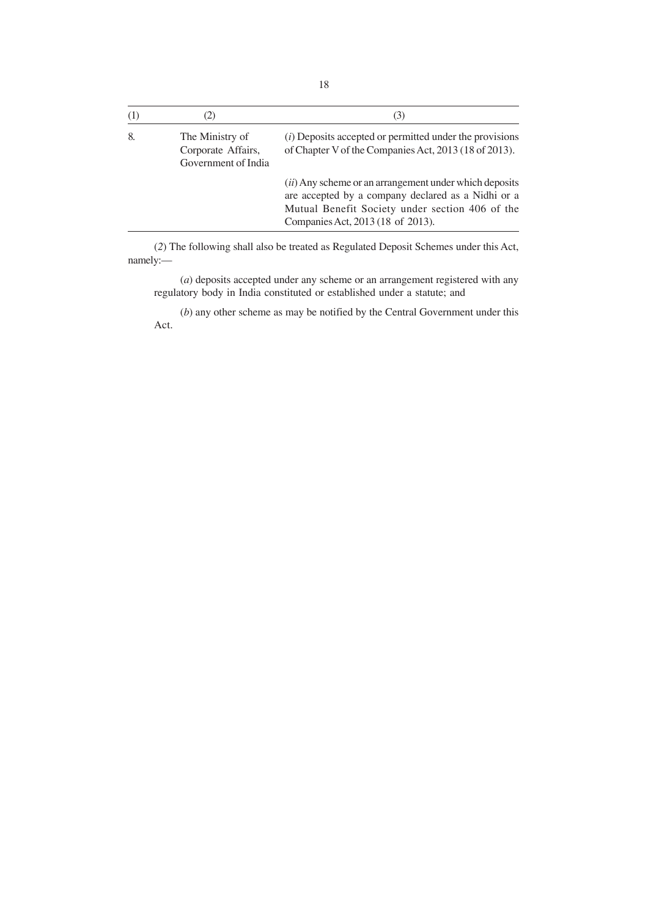|    | 2)                                                           | (3)                                                                                                                                                                                                           |
|----|--------------------------------------------------------------|---------------------------------------------------------------------------------------------------------------------------------------------------------------------------------------------------------------|
| 8. | The Ministry of<br>Corporate Affairs,<br>Government of India | $(i)$ Deposits accepted or permitted under the provisions<br>of Chapter V of the Companies Act, 2013 (18 of 2013).                                                                                            |
|    |                                                              | ( <i>ii</i> ) Any scheme or an arrangement under which deposits<br>are accepted by a company declared as a Nidhi or a<br>Mutual Benefit Society under section 406 of the<br>Companies Act, 2013 (18 of 2013). |

(*2*) The following shall also be treated as Regulated Deposit Schemes under this Act, namely:—

(*a*) deposits accepted under any scheme or an arrangement registered with any regulatory body in India constituted or established under a statute; and

(*b*) any other scheme as may be notified by the Central Government under this Act.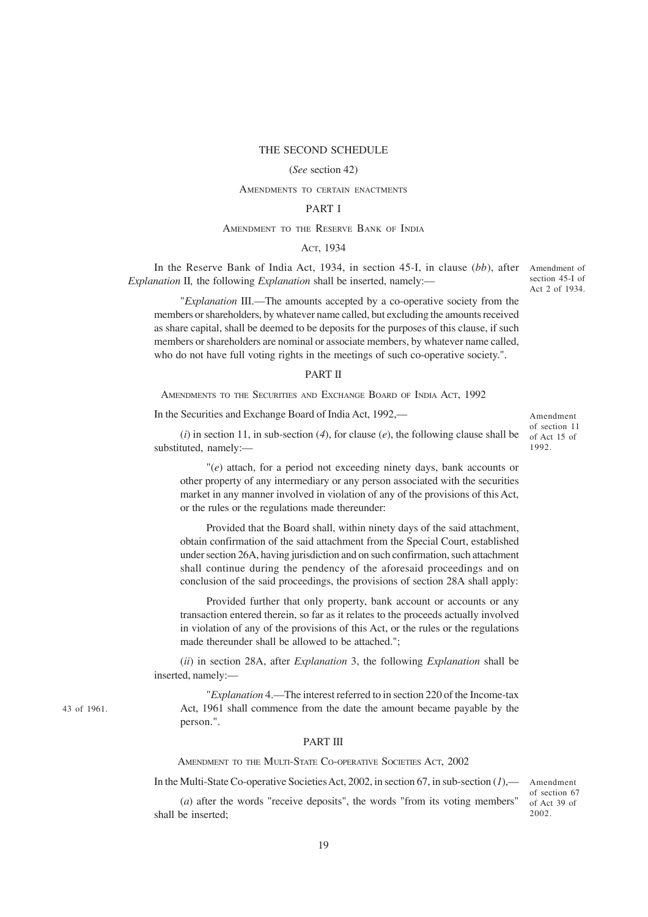#### THE SECOND SCHEDULE

#### (*See* section 42)

#### AMENDMENTS TO CERTAIN ENACTMENTS

## PART I

#### AMENDMENT TO THE RESERVE BANK OF INDIA

## ACT, 1934

In the Reserve Bank of India Act, 1934, in section 45-I, in clause (*bb*), after Amendment of *Explanation* II*,* the following *Explanation* shall be inserted, namely:—

section 45-I of Act 2 of 1934.

"*Explanation* III.—The amounts accepted by a co-operative society from the members or shareholders, by whatever name called, but excluding the amounts received as share capital, shall be deemed to be deposits for the purposes of this clause, if such members or shareholders are nominal or associate members, by whatever name called, who do not have full voting rights in the meetings of such co-operative society.".

### PART II

AMENDMENTS TO THE SECURITIES AND EXCHANGE BOARD OF INDIA ACT, 1992

In the Securities and Exchange Board of India Act, 1992,—

Amendment of section 11 of Act 15 of 1992.

Amendment of section 67 of Act 39 of 2002.

(*i*) in section 11, in sub-section (*4*), for clause (*e*), the following clause shall be substituted, namely:—

"(*e*) attach, for a period not exceeding ninety days, bank accounts or other property of any intermediary or any person associated with the securities market in any manner involved in violation of any of the provisions of this Act, or the rules or the regulations made thereunder:

Provided that the Board shall, within ninety days of the said attachment, obtain confirmation of the said attachment from the Special Court, established under section 26A, having jurisdiction and on such confirmation, such attachment shall continue during the pendency of the aforesaid proceedings and on conclusion of the said proceedings, the provisions of section 28A shall apply:

Provided further that only property, bank account or accounts or any transaction entered therein, so far as it relates to the proceeds actually involved in violation of any of the provisions of this Act, or the rules or the regulations made thereunder shall be allowed to be attached.";

(*ii*) in section 28A, after *Explanation* 3, the following *Explanation* shall be inserted, namely:—

"*Explanation* 4.—The interest referred to in section 220 of the Income-tax Act, 1961 shall commence from the date the amount became payable by the person.".

#### PART III

AMENDMENT TO THE MULTI-STATE CO-OPERATIVE SOCIETIES ACT, 2002

In the Multi-State Co-operative Societies Act, 2002, in section 67, in sub-section (*1*),—

(*a*) after the words "receive deposits", the words "from its voting members" shall be inserted;

43 of 1961.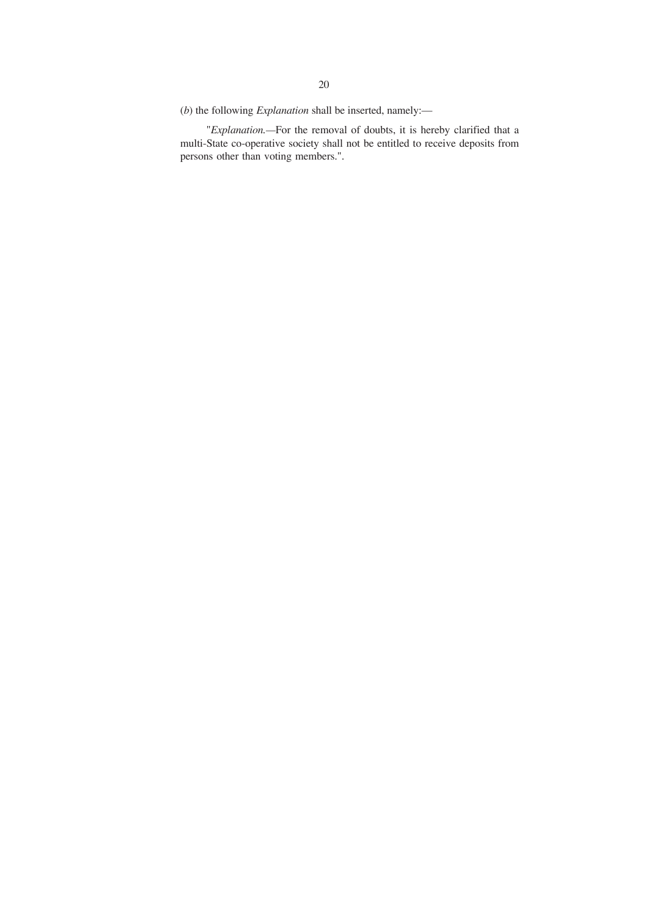(*b*) the following *Explanation* shall be inserted, namely:—

"*Explanation.—*For the removal of doubts, it is hereby clarified that a multi-State co-operative society shall not be entitled to receive deposits from persons other than voting members.".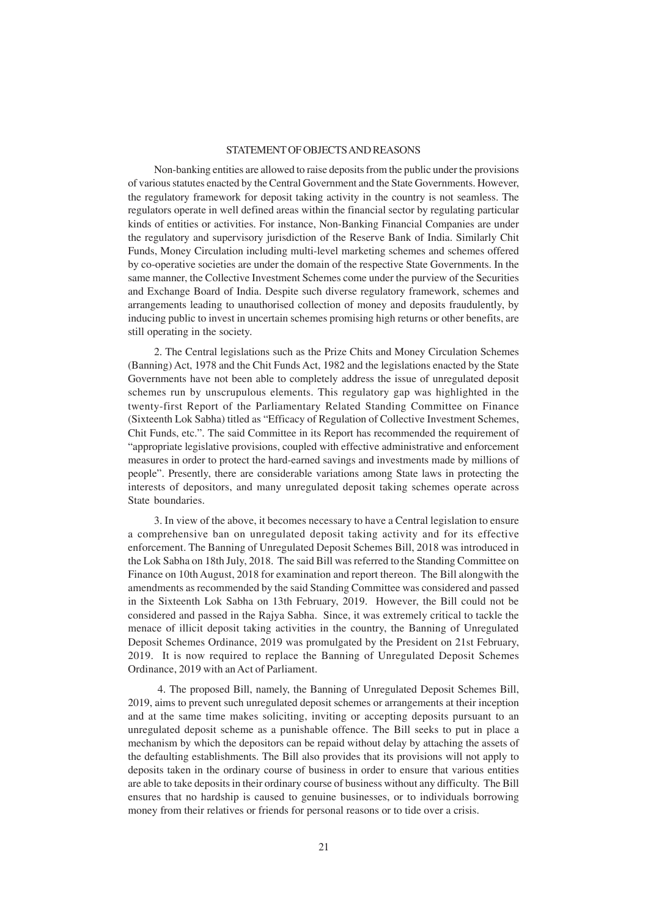### STATEMENT OF OBJECTS AND REASONS

Non-banking entities are allowed to raise deposits from the public under the provisions of various statutes enacted by the Central Government and the State Governments. However, the regulatory framework for deposit taking activity in the country is not seamless. The regulators operate in well defined areas within the financial sector by regulating particular kinds of entities or activities. For instance, Non-Banking Financial Companies are under the regulatory and supervisory jurisdiction of the Reserve Bank of India. Similarly Chit Funds, Money Circulation including multi-level marketing schemes and schemes offered by co-operative societies are under the domain of the respective State Governments. In the same manner, the Collective Investment Schemes come under the purview of the Securities and Exchange Board of India. Despite such diverse regulatory framework, schemes and arrangements leading to unauthorised collection of money and deposits fraudulently, by inducing public to invest in uncertain schemes promising high returns or other benefits, are still operating in the society.

2. The Central legislations such as the Prize Chits and Money Circulation Schemes (Banning) Act, 1978 and the Chit Funds Act, 1982 and the legislations enacted by the State Governments have not been able to completely address the issue of unregulated deposit schemes run by unscrupulous elements. This regulatory gap was highlighted in the twenty-first Report of the Parliamentary Related Standing Committee on Finance (Sixteenth Lok Sabha) titled as "Efficacy of Regulation of Collective Investment Schemes, Chit Funds, etc.". The said Committee in its Report has recommended the requirement of "appropriate legislative provisions, coupled with effective administrative and enforcement measures in order to protect the hard-earned savings and investments made by millions of people". Presently, there are considerable variations among State laws in protecting the interests of depositors, and many unregulated deposit taking schemes operate across State boundaries.

3. In view of the above, it becomes necessary to have a Central legislation to ensure a comprehensive ban on unregulated deposit taking activity and for its effective enforcement. The Banning of Unregulated Deposit Schemes Bill, 2018 was introduced in the Lok Sabha on 18th July, 2018. The said Bill was referred to the Standing Committee on Finance on 10th August, 2018 for examination and report thereon. The Bill alongwith the amendments as recommended by the said Standing Committee was considered and passed in the Sixteenth Lok Sabha on 13th February, 2019. However, the Bill could not be considered and passed in the Rajya Sabha. Since, it was extremely critical to tackle the menace of illicit deposit taking activities in the country, the Banning of Unregulated Deposit Schemes Ordinance, 2019 was promulgated by the President on 21st February, 2019. It is now required to replace the Banning of Unregulated Deposit Schemes Ordinance, 2019 with an Act of Parliament.

 4. The proposed Bill, namely, the Banning of Unregulated Deposit Schemes Bill, 2019, aims to prevent such unregulated deposit schemes or arrangements at their inception and at the same time makes soliciting, inviting or accepting deposits pursuant to an unregulated deposit scheme as a punishable offence. The Bill seeks to put in place a mechanism by which the depositors can be repaid without delay by attaching the assets of the defaulting establishments. The Bill also provides that its provisions will not apply to deposits taken in the ordinary course of business in order to ensure that various entities are able to take deposits in their ordinary course of business without any difficulty. The Bill ensures that no hardship is caused to genuine businesses, or to individuals borrowing money from their relatives or friends for personal reasons or to tide over a crisis.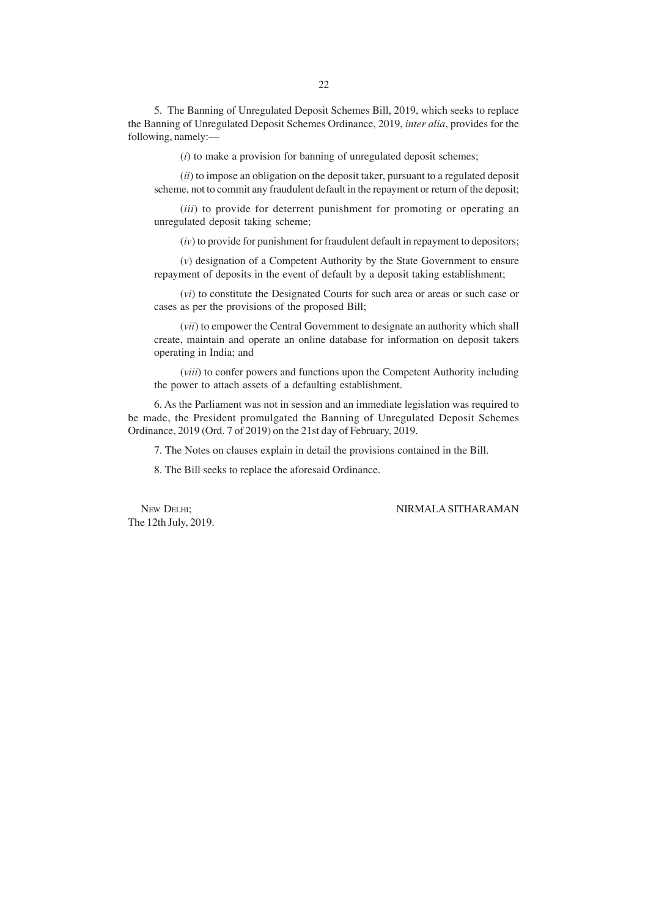5. The Banning of Unregulated Deposit Schemes Bill, 2019, which seeks to replace the Banning of Unregulated Deposit Schemes Ordinance, 2019, *inter alia*, provides for the following, namely:––

(*i*) to make a provision for banning of unregulated deposit schemes;

(*ii*) to impose an obligation on the deposit taker, pursuant to a regulated deposit scheme, not to commit any fraudulent default in the repayment or return of the deposit;

(*iii*) to provide for deterrent punishment for promoting or operating an unregulated deposit taking scheme;

(*iv*) to provide for punishment for fraudulent default in repayment to depositors;

(*v*) designation of a Competent Authority by the State Government to ensure repayment of deposits in the event of default by a deposit taking establishment;

(*vi*) to constitute the Designated Courts for such area or areas or such case or cases as per the provisions of the proposed Bill;

(*vii*) to empower the Central Government to designate an authority which shall create, maintain and operate an online database for information on deposit takers operating in India; and

(*viii*) to confer powers and functions upon the Competent Authority including the power to attach assets of a defaulting establishment.

6. As the Parliament was not in session and an immediate legislation was required to be made, the President promulgated the Banning of Unregulated Deposit Schemes Ordinance, 2019 (Ord. 7 of 2019) on the 21st day of February, 2019.

7. The Notes on clauses explain in detail the provisions contained in the Bill.

8. The Bill seeks to replace the aforesaid Ordinance.

The 12th July, 2019.

### NEW DELHI; NIRMALA SITHARAMAN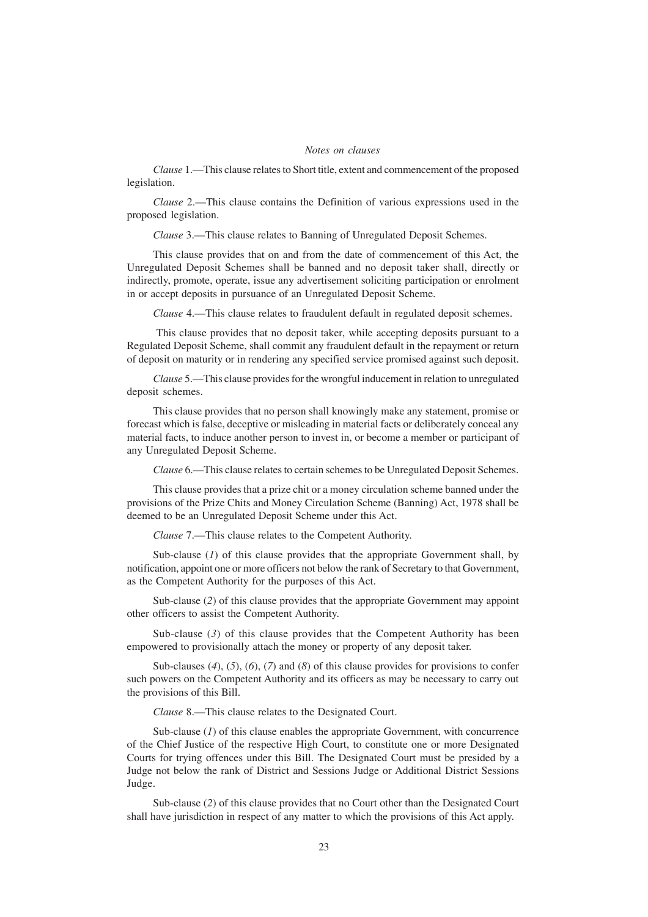#### *Notes on clauses*

*Clause* 1.—This clause relates to Short title, extent and commencement of the proposed legislation.

*Clause* 2.—This clause contains the Definition of various expressions used in the proposed legislation.

*Clause* 3.—This clause relates to Banning of Unregulated Deposit Schemes.

This clause provides that on and from the date of commencement of this Act, the Unregulated Deposit Schemes shall be banned and no deposit taker shall, directly or indirectly, promote, operate, issue any advertisement soliciting participation or enrolment in or accept deposits in pursuance of an Unregulated Deposit Scheme.

*Clause* 4.—This clause relates to fraudulent default in regulated deposit schemes.

 This clause provides that no deposit taker, while accepting deposits pursuant to a Regulated Deposit Scheme, shall commit any fraudulent default in the repayment or return of deposit on maturity or in rendering any specified service promised against such deposit.

*Clause* 5.—This clause provides for the wrongful inducement in relation to unregulated deposit schemes.

This clause provides that no person shall knowingly make any statement, promise or forecast which is false, deceptive or misleading in material facts or deliberately conceal any material facts, to induce another person to invest in, or become a member or participant of any Unregulated Deposit Scheme.

*Clause* 6.—This clause relates to certain schemes to be Unregulated Deposit Schemes.

This clause provides that a prize chit or a money circulation scheme banned under the provisions of the Prize Chits and Money Circulation Scheme (Banning) Act, 1978 shall be deemed to be an Unregulated Deposit Scheme under this Act.

*Clause* 7.—This clause relates to the Competent Authority.

Sub-clause (*1*) of this clause provides that the appropriate Government shall, by notification, appoint one or more officers not below the rank of Secretary to that Government, as the Competent Authority for the purposes of this Act.

Sub-clause (*2*) of this clause provides that the appropriate Government may appoint other officers to assist the Competent Authority.

Sub-clause (3) of this clause provides that the Competent Authority has been empowered to provisionally attach the money or property of any deposit taker.

Sub-clauses (*4*), (*5*), (*6*), (*7*) and (*8*) of this clause provides for provisions to confer such powers on the Competent Authority and its officers as may be necessary to carry out the provisions of this Bill.

*Clause* 8.—This clause relates to the Designated Court.

Sub-clause (*1*) of this clause enables the appropriate Government, with concurrence of the Chief Justice of the respective High Court, to constitute one or more Designated Courts for trying offences under this Bill. The Designated Court must be presided by a Judge not below the rank of District and Sessions Judge or Additional District Sessions Judge.

Sub-clause (*2*) of this clause provides that no Court other than the Designated Court shall have jurisdiction in respect of any matter to which the provisions of this Act apply.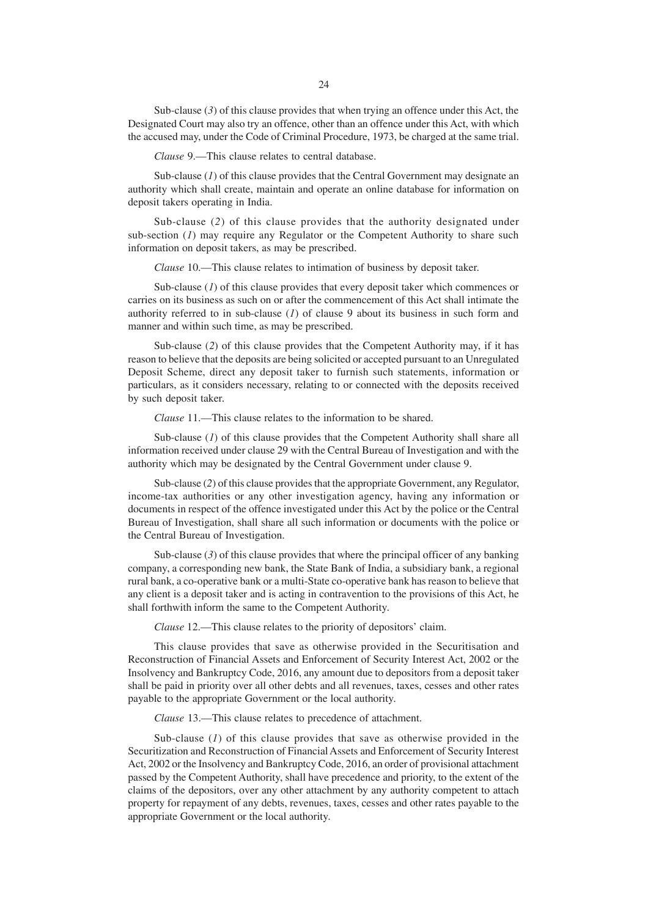Sub-clause (3) of this clause provides that when trying an offence under this Act, the Designated Court may also try an offence, other than an offence under this Act, with which the accused may, under the Code of Criminal Procedure, 1973, be charged at the same trial.

*Clause* 9.—This clause relates to central database.

Sub-clause (*l*) of this clause provides that the Central Government may designate an authority which shall create, maintain and operate an online database for information on deposit takers operating in India.

Sub-clause (*2*) of this clause provides that the authority designated under sub-section (*1*) may require any Regulator or the Competent Authority to share such information on deposit takers, as may be prescribed.

*Clause* 10.—This clause relates to intimation of business by deposit taker.

Sub-clause (*1*) of this clause provides that every deposit taker which commences or carries on its business as such on or after the commencement of this Act shall intimate the authority referred to in sub-clause (*1*) of clause 9 about its business in such form and manner and within such time, as may be prescribed.

Sub-clause (*2*) of this clause provides that the Competent Authority may, if it has reason to believe that the deposits are being solicited or accepted pursuant to an Unregulated Deposit Scheme, direct any deposit taker to furnish such statements, information or particulars, as it considers necessary, relating to or connected with the deposits received by such deposit taker.

*Clause* 11.—This clause relates to the information to be shared.

Sub-clause (*1*) of this clause provides that the Competent Authority shall share all information received under clause 29 with the Central Bureau of Investigation and with the authority which may be designated by the Central Government under clause 9.

Sub-clause (*2*) of this clause provides that the appropriate Government, any Regulator, income-tax authorities or any other investigation agency, having any information or documents in respect of the offence investigated under this Act by the police or the Central Bureau of Investigation, shall share all such information or documents with the police or the Central Bureau of Investigation.

Sub-clause (3) of this clause provides that where the principal officer of any banking company, a corresponding new bank, the State Bank of India, a subsidiary bank, a regional rural bank, a co-operative bank or a multi-State co-operative bank has reason to believe that any client is a deposit taker and is acting in contravention to the provisions of this Act, he shall forthwith inform the same to the Competent Authority.

*Clause* 12.—This clause relates to the priority of depositors' claim.

This clause provides that save as otherwise provided in the Securitisation and Reconstruction of Financial Assets and Enforcement of Security Interest Act, 2002 or the Insolvency and Bankruptcy Code, 2016, any amount due to depositors from a deposit taker shall be paid in priority over all other debts and all revenues, taxes, cesses and other rates payable to the appropriate Government or the local authority.

*Clause* 13.—This clause relates to precedence of attachment.

Sub-clause (*1*) of this clause provides that save as otherwise provided in the Securitization and Reconstruction of Financial Assets and Enforcement of Security Interest Act, 2002 or the Insolvency and Bankruptcy Code, 2016, an order of provisional attachment passed by the Competent Authority, shall have precedence and priority, to the extent of the claims of the depositors, over any other attachment by any authority competent to attach property for repayment of any debts, revenues, taxes, cesses and other rates payable to the appropriate Government or the local authority.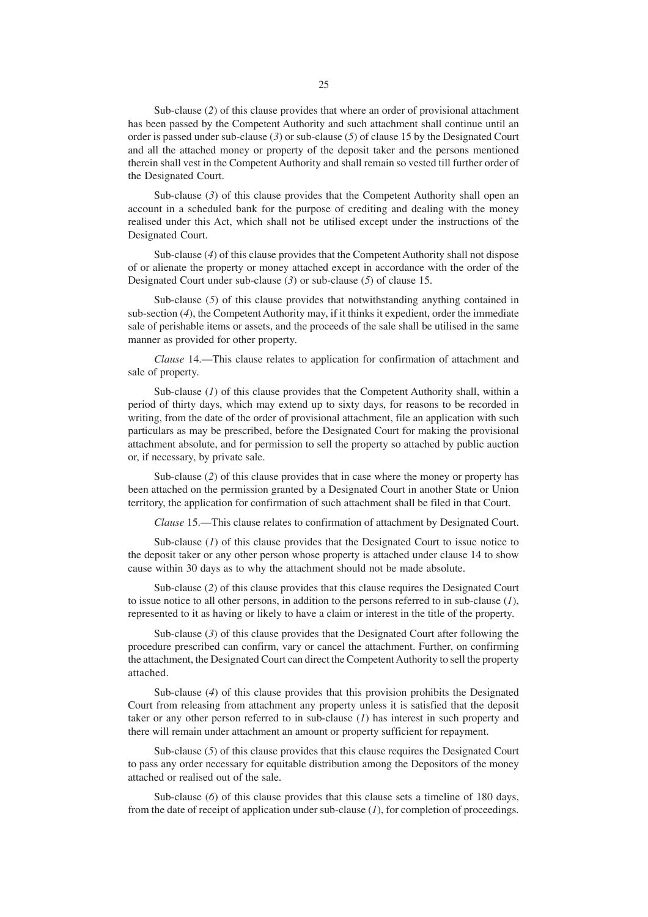Sub-clause (*2*) of this clause provides that where an order of provisional attachment has been passed by the Competent Authority and such attachment shall continue until an order is passed under sub-clause (*3*) or sub-clause (*5*) of clause 15 by the Designated Court and all the attached money or property of the deposit taker and the persons mentioned therein shall vest in the Competent Authority and shall remain so vested till further order of the Designated Court.

Sub-clause (3) of this clause provides that the Competent Authority shall open an account in a scheduled bank for the purpose of crediting and dealing with the money realised under this Act, which shall not be utilised except under the instructions of the Designated Court.

Sub-clause (*4*) of this clause provides that the Competent Authority shall not dispose of or alienate the property or money attached except in accordance with the order of the Designated Court under sub-clause (*3*) or sub-clause (*5*) of clause 15.

Sub-clause (*5*) of this clause provides that notwithstanding anything contained in sub-section (*4*), the Competent Authority may, if it thinks it expedient, order the immediate sale of perishable items or assets, and the proceeds of the sale shall be utilised in the same manner as provided for other property.

*Clause* 14.—This clause relates to application for confirmation of attachment and sale of property.

Sub-clause (*1*) of this clause provides that the Competent Authority shall, within a period of thirty days, which may extend up to sixty days, for reasons to be recorded in writing, from the date of the order of provisional attachment, file an application with such particulars as may be prescribed, before the Designated Court for making the provisional attachment absolute, and for permission to sell the property so attached by public auction or, if necessary, by private sale.

Sub-clause (*2*) of this clause provides that in case where the money or property has been attached on the permission granted by a Designated Court in another State or Union territory, the application for confirmation of such attachment shall be filed in that Court.

*Clause* 15.—This clause relates to confirmation of attachment by Designated Court.

Sub-clause (*1*) of this clause provides that the Designated Court to issue notice to the deposit taker or any other person whose property is attached under clause 14 to show cause within 30 days as to why the attachment should not be made absolute.

Sub-clause (*2*) of this clause provides that this clause requires the Designated Court to issue notice to all other persons, in addition to the persons referred to in sub-clause (*1*), represented to it as having or likely to have a claim or interest in the title of the property.

Sub-clause (3) of this clause provides that the Designated Court after following the procedure prescribed can confirm, vary or cancel the attachment. Further, on confirming the attachment, the Designated Court can direct the Competent Authority to sell the property attached.

Sub-clause (*4*) of this clause provides that this provision prohibits the Designated Court from releasing from attachment any property unless it is satisfied that the deposit taker or any other person referred to in sub-clause (*1*) has interest in such property and there will remain under attachment an amount or property sufficient for repayment.

Sub-clause (*5*) of this clause provides that this clause requires the Designated Court to pass any order necessary for equitable distribution among the Depositors of the money attached or realised out of the sale.

Sub-clause (6) of this clause provides that this clause sets a timeline of 180 days, from the date of receipt of application under sub-clause (*1*), for completion of proceedings.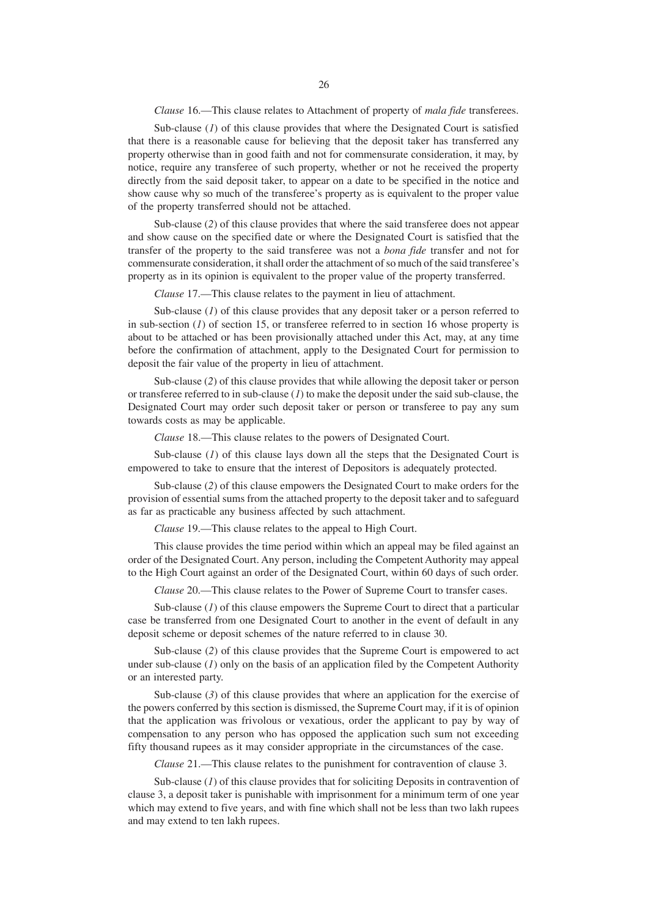*Clause* 16.—This clause relates to Attachment of property of *mala fide* transferees.

Sub-clause (*1*) of this clause provides that where the Designated Court is satisfied that there is a reasonable cause for believing that the deposit taker has transferred any property otherwise than in good faith and not for commensurate consideration, it may, by notice, require any transferee of such property, whether or not he received the property directly from the said deposit taker, to appear on a date to be specified in the notice and show cause why so much of the transferee's property as is equivalent to the proper value of the property transferred should not be attached.

Sub-clause (*2*) of this clause provides that where the said transferee does not appear and show cause on the specified date or where the Designated Court is satisfied that the transfer of the property to the said transferee was not a *bona fide* transfer and not for commensurate consideration, it shall order the attachment of so much of the said transferee's property as in its opinion is equivalent to the proper value of the property transferred.

*Clause* 17.—This clause relates to the payment in lieu of attachment.

Sub-clause (*I*) of this clause provides that any deposit taker or a person referred to in sub-section (*1*) of section 15, or transferee referred to in section 16 whose property is about to be attached or has been provisionally attached under this Act, may, at any time before the confirmation of attachment, apply to the Designated Court for permission to deposit the fair value of the property in lieu of attachment.

Sub-clause (*2*) of this clause provides that while allowing the deposit taker or person or transferee referred to in sub-clause (*1*) to make the deposit under the said sub-clause, the Designated Court may order such deposit taker or person or transferee to pay any sum towards costs as may be applicable.

*Clause* 18.—This clause relates to the powers of Designated Court.

Sub-clause (*I*) of this clause lays down all the steps that the Designated Court is empowered to take to ensure that the interest of Depositors is adequately protected.

Sub-clause (*2*) of this clause empowers the Designated Court to make orders for the provision of essential sums from the attached property to the deposit taker and to safeguard as far as practicable any business affected by such attachment.

*Clause* 19.—This clause relates to the appeal to High Court.

This clause provides the time period within which an appeal may be filed against an order of the Designated Court. Any person, including the Competent Authority may appeal to the High Court against an order of the Designated Court, within 60 days of such order.

*Clause* 20.—This clause relates to the Power of Supreme Court to transfer cases.

Sub-clause (*1*) of this clause empowers the Supreme Court to direct that a particular case be transferred from one Designated Court to another in the event of default in any deposit scheme or deposit schemes of the nature referred to in clause 30.

Sub-clause (*2*) of this clause provides that the Supreme Court is empowered to act under sub-clause (*1*) only on the basis of an application filed by the Competent Authority or an interested party.

Sub-clause (3) of this clause provides that where an application for the exercise of the powers conferred by this section is dismissed, the Supreme Court may, if it is of opinion that the application was frivolous or vexatious, order the applicant to pay by way of compensation to any person who has opposed the application such sum not exceeding fifty thousand rupees as it may consider appropriate in the circumstances of the case.

*Clause* 21.—This clause relates to the punishment for contravention of clause 3.

Sub-clause (*1*) of this clause provides that for soliciting Deposits in contravention of clause 3, a deposit taker is punishable with imprisonment for a minimum term of one year which may extend to five years, and with fine which shall not be less than two lakh rupees and may extend to ten lakh rupees.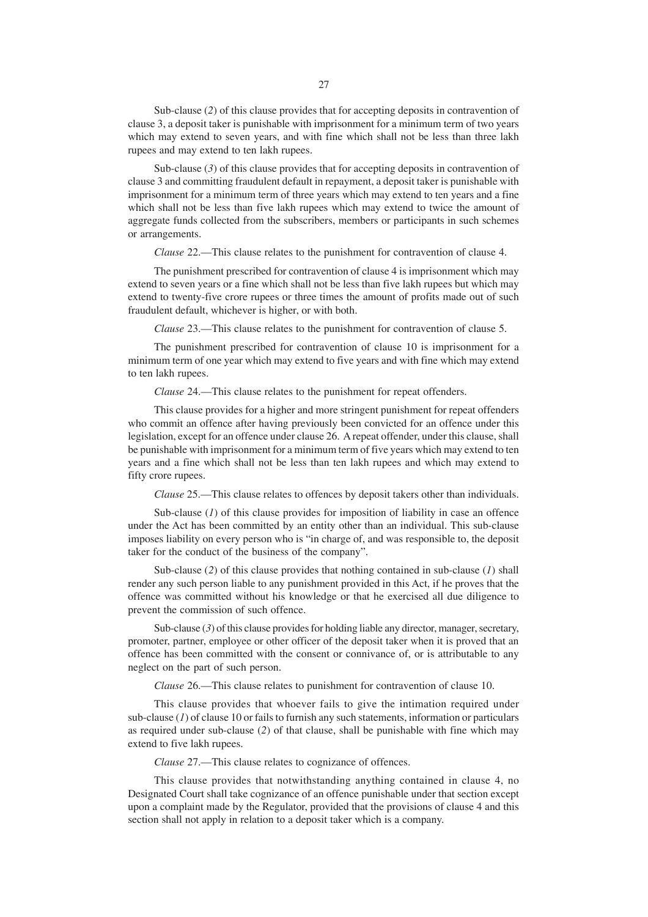Sub-clause (*2*) of this clause provides that for accepting deposits in contravention of clause 3, a deposit taker is punishable with imprisonment for a minimum term of two years which may extend to seven years, and with fine which shall not be less than three lakh rupees and may extend to ten lakh rupees.

Sub-clause (3) of this clause provides that for accepting deposits in contravention of clause 3 and committing fraudulent default in repayment, a deposit taker is punishable with imprisonment for a minimum term of three years which may extend to ten years and a fine which shall not be less than five lakh rupees which may extend to twice the amount of aggregate funds collected from the subscribers, members or participants in such schemes or arrangements.

*Clause* 22.—This clause relates to the punishment for contravention of clause 4.

The punishment prescribed for contravention of clause 4 is imprisonment which may extend to seven years or a fine which shall not be less than five lakh rupees but which may extend to twenty-five crore rupees or three times the amount of profits made out of such fraudulent default, whichever is higher, or with both.

*Clause* 23.—This clause relates to the punishment for contravention of clause 5.

The punishment prescribed for contravention of clause 10 is imprisonment for a minimum term of one year which may extend to five years and with fine which may extend to ten lakh rupees.

*Clause* 24.—This clause relates to the punishment for repeat offenders.

This clause provides for a higher and more stringent punishment for repeat offenders who commit an offence after having previously been convicted for an offence under this legislation, except for an offence under clause 26. A repeat offender, under this clause, shall be punishable with imprisonment for a minimum term of five years which may extend to ten years and a fine which shall not be less than ten lakh rupees and which may extend to fifty crore rupees.

*Clause* 25.—This clause relates to offences by deposit takers other than individuals.

Sub-clause (*1*) of this clause provides for imposition of liability in case an offence under the Act has been committed by an entity other than an individual. This sub-clause imposes liability on every person who is "in charge of, and was responsible to, the deposit taker for the conduct of the business of the company".

Sub-clause (*2*) of this clause provides that nothing contained in sub-clause (*1*) shall render any such person liable to any punishment provided in this Act, if he proves that the offence was committed without his knowledge or that he exercised all due diligence to prevent the commission of such offence.

Sub-clause (3) of this clause provides for holding liable any director, manager, secretary, promoter, partner, employee or other officer of the deposit taker when it is proved that an offence has been committed with the consent or connivance of, or is attributable to any neglect on the part of such person.

*Clause* 26.—This clause relates to punishment for contravention of clause 10.

This clause provides that whoever fails to give the intimation required under sub-clause (*1*) of clause 10 or fails to furnish any such statements, information or particulars as required under sub-clause (*2*) of that clause, shall be punishable with fine which may extend to five lakh rupees.

*Clause* 27.—This clause relates to cognizance of offences.

This clause provides that notwithstanding anything contained in clause 4, no Designated Court shall take cognizance of an offence punishable under that section except upon a complaint made by the Regulator, provided that the provisions of clause 4 and this section shall not apply in relation to a deposit taker which is a company.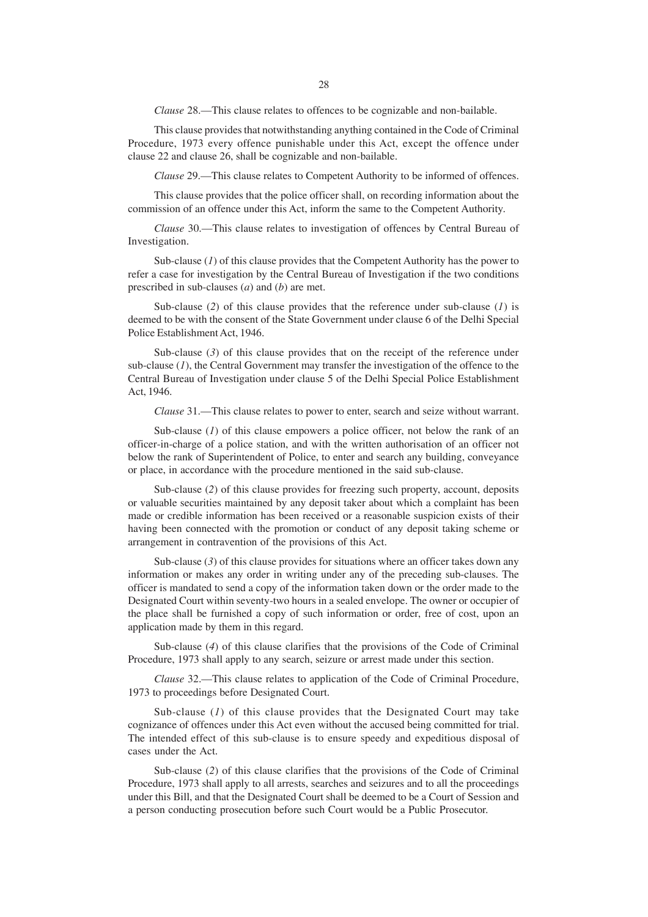*Clause* 28.—This clause relates to offences to be cognizable and non-bailable.

This clause provides that notwithstanding anything contained in the Code of Criminal Procedure, 1973 every offence punishable under this Act, except the offence under clause 22 and clause 26, shall be cognizable and non-bailable.

*Clause* 29.—This clause relates to Competent Authority to be informed of offences.

This clause provides that the police officer shall, on recording information about the commission of an offence under this Act, inform the same to the Competent Authority.

*Clause* 30.—This clause relates to investigation of offences by Central Bureau of Investigation.

Sub-clause (*1*) of this clause provides that the Competent Authority has the power to refer a case for investigation by the Central Bureau of Investigation if the two conditions prescribed in sub-clauses (*a*) and (*b*) are met.

Sub-clause (*2*) of this clause provides that the reference under sub-clause (*1*) is deemed to be with the consent of the State Government under clause 6 of the Delhi Special Police Establishment Act, 1946.

Sub-clause (3) of this clause provides that on the receipt of the reference under sub-clause (*1*), the Central Government may transfer the investigation of the offence to the Central Bureau of Investigation under clause 5 of the Delhi Special Police Establishment Act, 1946.

*Clause* 31.—This clause relates to power to enter, search and seize without warrant.

Sub-clause (*1*) of this clause empowers a police officer, not below the rank of an officer-in-charge of a police station, and with the written authorisation of an officer not below the rank of Superintendent of Police, to enter and search any building, conveyance or place, in accordance with the procedure mentioned in the said sub-clause.

Sub-clause (*2*) of this clause provides for freezing such property, account, deposits or valuable securities maintained by any deposit taker about which a complaint has been made or credible information has been received or a reasonable suspicion exists of their having been connected with the promotion or conduct of any deposit taking scheme or arrangement in contravention of the provisions of this Act.

Sub-clause (3) of this clause provides for situations where an officer takes down any information or makes any order in writing under any of the preceding sub-clauses. The officer is mandated to send a copy of the information taken down or the order made to the Designated Court within seventy-two hours in a sealed envelope. The owner or occupier of the place shall be furnished a copy of such information or order, free of cost, upon an application made by them in this regard.

Sub-clause (*4*) of this clause clarifies that the provisions of the Code of Criminal Procedure, 1973 shall apply to any search, seizure or arrest made under this section.

*Clause* 32.—This clause relates to application of the Code of Criminal Procedure, 1973 to proceedings before Designated Court.

Sub-clause (*1*) of this clause provides that the Designated Court may take cognizance of offences under this Act even without the accused being committed for trial. The intended effect of this sub-clause is to ensure speedy and expeditious disposal of cases under the Act.

Sub-clause (*2*) of this clause clarifies that the provisions of the Code of Criminal Procedure, 1973 shall apply to all arrests, searches and seizures and to all the proceedings under this Bill, and that the Designated Court shall be deemed to be a Court of Session and a person conducting prosecution before such Court would be a Public Prosecutor.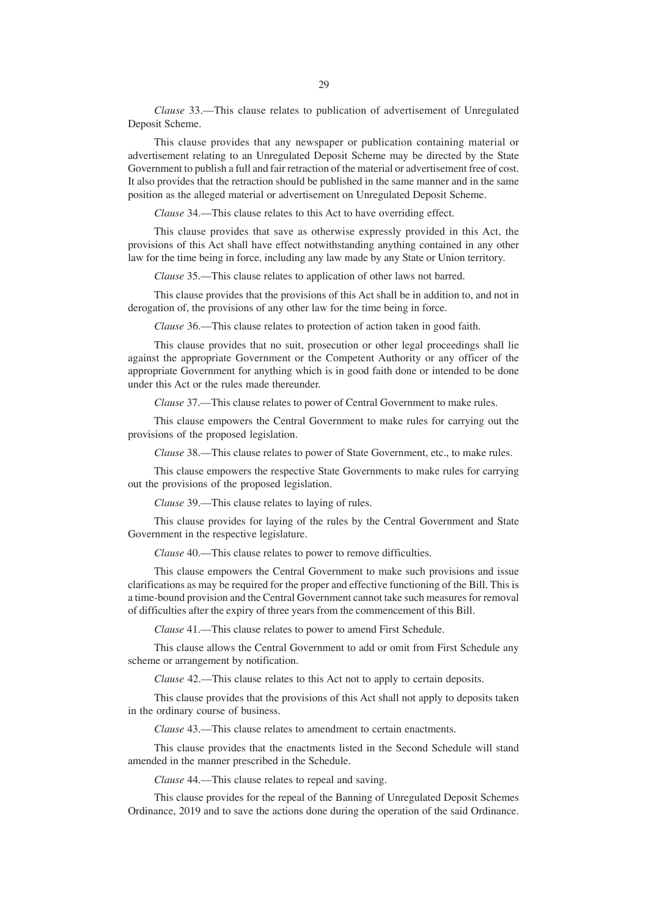*Clause* 33.—This clause relates to publication of advertisement of Unregulated Deposit Scheme.

This clause provides that any newspaper or publication containing material or advertisement relating to an Unregulated Deposit Scheme may be directed by the State Government to publish a full and fair retraction of the material or advertisement free of cost. It also provides that the retraction should be published in the same manner and in the same position as the alleged material or advertisement on Unregulated Deposit Scheme.

*Clause* 34.—This clause relates to this Act to have overriding effect.

This clause provides that save as otherwise expressly provided in this Act, the provisions of this Act shall have effect notwithstanding anything contained in any other law for the time being in force, including any law made by any State or Union territory.

*Clause* 35.—This clause relates to application of other laws not barred.

This clause provides that the provisions of this Act shall be in addition to, and not in derogation of, the provisions of any other law for the time being in force.

*Clause* 36.—This clause relates to protection of action taken in good faith.

This clause provides that no suit, prosecution or other legal proceedings shall lie against the appropriate Government or the Competent Authority or any officer of the appropriate Government for anything which is in good faith done or intended to be done under this Act or the rules made thereunder.

*Clause* 37.—This clause relates to power of Central Government to make rules.

This clause empowers the Central Government to make rules for carrying out the provisions of the proposed legislation.

*Clause* 38.—This clause relates to power of State Government, etc., to make rules.

This clause empowers the respective State Governments to make rules for carrying out the provisions of the proposed legislation.

*Clause* 39.—This clause relates to laying of rules.

This clause provides for laying of the rules by the Central Government and State Government in the respective legislature.

*Clause* 40.—This clause relates to power to remove difficulties.

This clause empowers the Central Government to make such provisions and issue clarifications as may be required for the proper and effective functioning of the Bill. This is a time-bound provision and the Central Government cannot take such measures for removal of difficulties after the expiry of three years from the commencement of this Bill.

*Clause* 41.—This clause relates to power to amend First Schedule.

This clause allows the Central Government to add or omit from First Schedule any scheme or arrangement by notification.

*Clause* 42.—This clause relates to this Act not to apply to certain deposits.

This clause provides that the provisions of this Act shall not apply to deposits taken in the ordinary course of business.

*Clause* 43.—This clause relates to amendment to certain enactments.

This clause provides that the enactments listed in the Second Schedule will stand amended in the manner prescribed in the Schedule.

*Clause* 44.—This clause relates to repeal and saving.

This clause provides for the repeal of the Banning of Unregulated Deposit Schemes Ordinance, 2019 and to save the actions done during the operation of the said Ordinance.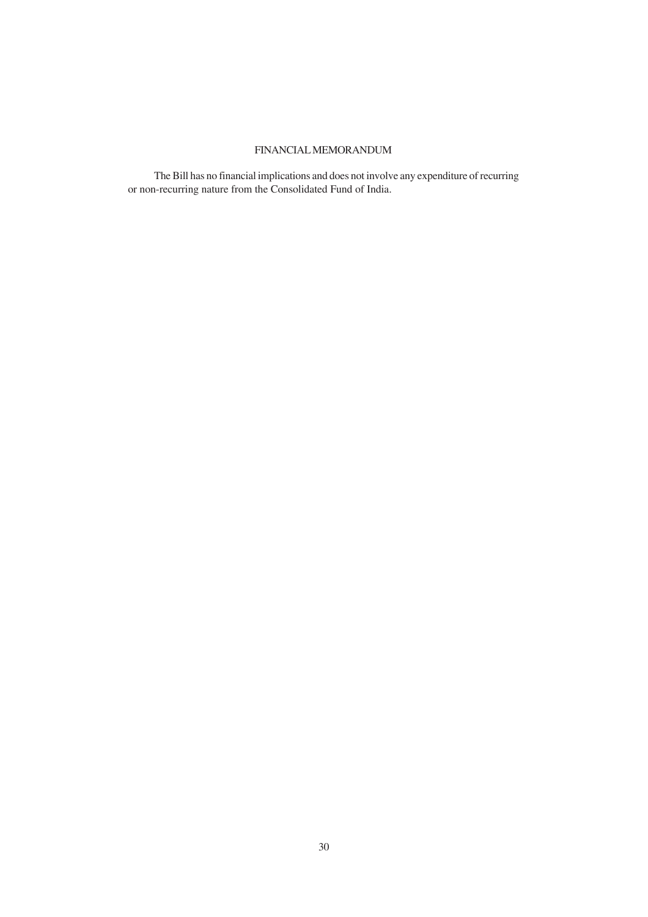# FINANCIAL MEMORANDUM

The Bill has no financial implications and does not involve any expenditure of recurring or non-recurring nature from the Consolidated Fund of India.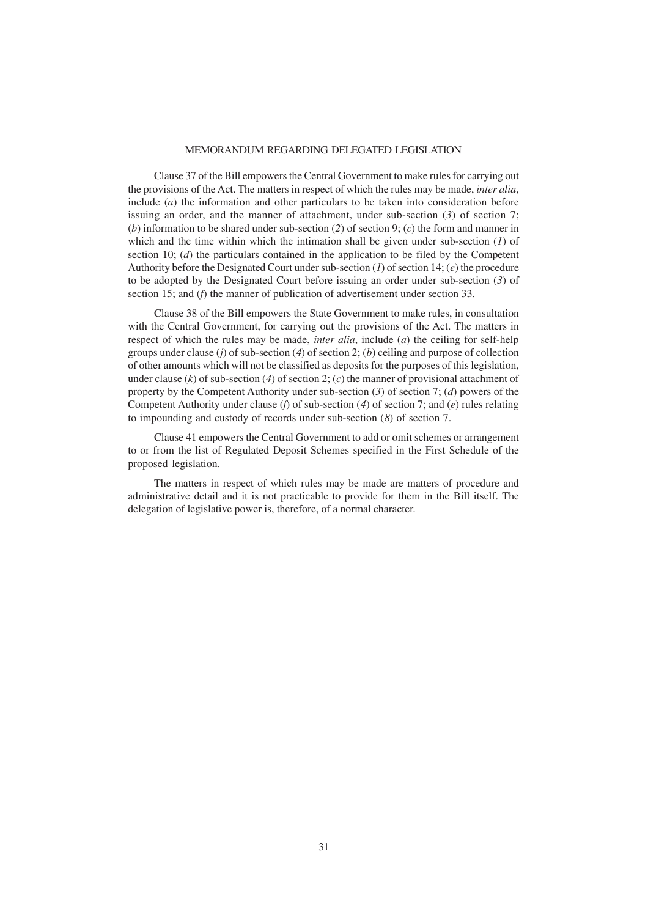### MEMORANDUM REGARDING DELEGATED LEGISLATION

Clause 37 of the Bill empowers the Central Government to make rules for carrying out the provisions of the Act. The matters in respect of which the rules may be made, *inter alia*, include (*a*) the information and other particulars to be taken into consideration before issuing an order, and the manner of attachment, under sub-section (*3*) of section 7; (*b*) information to be shared under sub-section (*2*) of section 9; (*c*) the form and manner in which and the time within which the intimation shall be given under sub-section (*1*) of section 10; (*d*) the particulars contained in the application to be filed by the Competent Authority before the Designated Court under sub-section (*1*) of section 14; (*e*) the procedure to be adopted by the Designated Court before issuing an order under sub-section (*3*) of section 15; and (*f*) the manner of publication of advertisement under section 33.

Clause 38 of the Bill empowers the State Government to make rules, in consultation with the Central Government, for carrying out the provisions of the Act. The matters in respect of which the rules may be made, *inter alia*, include (*a*) the ceiling for self-help groups under clause (*j*) of sub-section (*4*) of section 2; (*b*) ceiling and purpose of collection of other amounts which will not be classified as deposits for the purposes of this legislation, under clause  $(k)$  of sub-section  $(4)$  of section 2;  $(c)$  the manner of provisional attachment of property by the Competent Authority under sub-section (*3*) of section 7; (*d*) powers of the Competent Authority under clause (*f*) of sub-section (*4*) of section 7; and (*e*) rules relating to impounding and custody of records under sub-section (*8*) of section 7.

Clause 41 empowers the Central Government to add or omit schemes or arrangement to or from the list of Regulated Deposit Schemes specified in the First Schedule of the proposed legislation.

The matters in respect of which rules may be made are matters of procedure and administrative detail and it is not practicable to provide for them in the Bill itself. The delegation of legislative power is, therefore, of a normal character.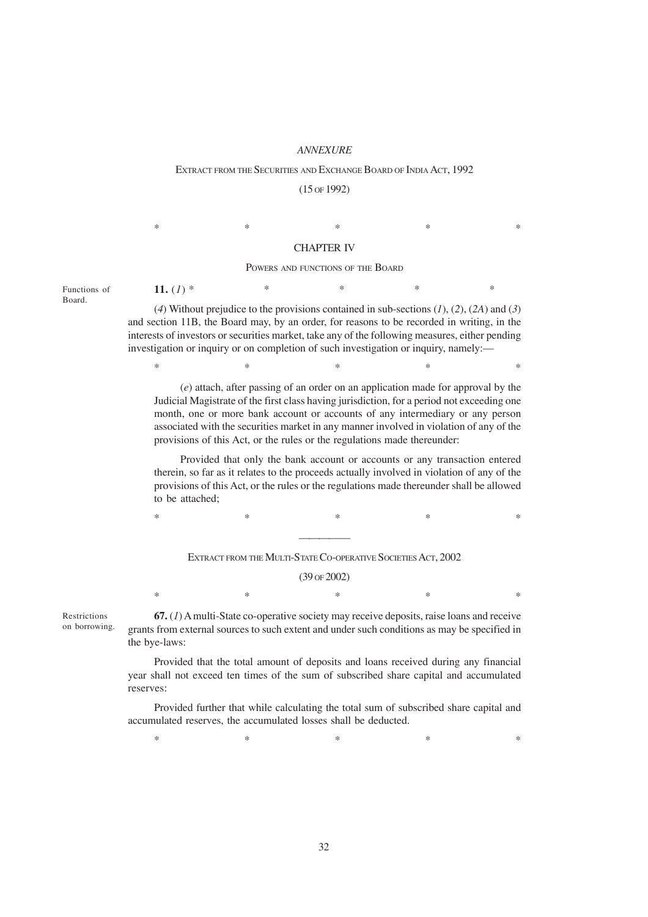### *ANNEXURE*

#### EXTRACT FROM THE SECURITIES AND EXCHANGE BOARD OF INDIA ACT, 1992

### (15 OF 1992)

 $*$  \*  $*$  \*  $*$  \*  $*$  \*

11.  $(I)$  \*

### CHAPTER IV

#### POWERS AND FUNCTIONS OF THE BOARD

Functions of Board.

(*4*) Without prejudice to the provisions contained in sub-sections (*1*), (*2*), (*2A*) and (*3*) and section 11B, the Board may, by an order, for reasons to be recorded in writing, in the interests of investors or securities market, take any of the following measures, either pending investigation or inquiry or on completion of such investigation or inquiry, namely:—

(*e*) attach, after passing of an order on an application made for approval by the Judicial Magistrate of the first class having jurisdiction, for a period not exceeding one month, one or more bank account or accounts of any intermediary or any person associated with the securities market in any manner involved in violation of any of the provisions of this Act, or the rules or the regulations made thereunder:

 $*$  \*  $*$  \*  $*$  \*  $*$  \*

Provided that only the bank account or accounts or any transaction entered therein, so far as it relates to the proceeds actually involved in violation of any of the provisions of this Act, or the rules or the regulations made thereunder shall be allowed to be attached;

 $*$  \*  $*$  \*  $*$  \*  $*$  \* —————

EXTRACT FROM THE MULTI-STATE CO-OPERATIVE SOCIETIES ACT, 2002

(39 OF 2002)

 $*$  \*  $*$  \*  $*$  \*  $*$  \*

Restrictions on borrowing.

**67.** (*1*) A multi-State co-operative society may receive deposits, raise loans and receive grants from external sources to such extent and under such conditions as may be specified in the bye-laws:

Provided that the total amount of deposits and loans received during any financial year shall not exceed ten times of the sum of subscribed share capital and accumulated reserves:

Provided further that while calculating the total sum of subscribed share capital and accumulated reserves, the accumulated losses shall be deducted.

 $*$  \*  $*$  \*  $*$  \*  $*$  \*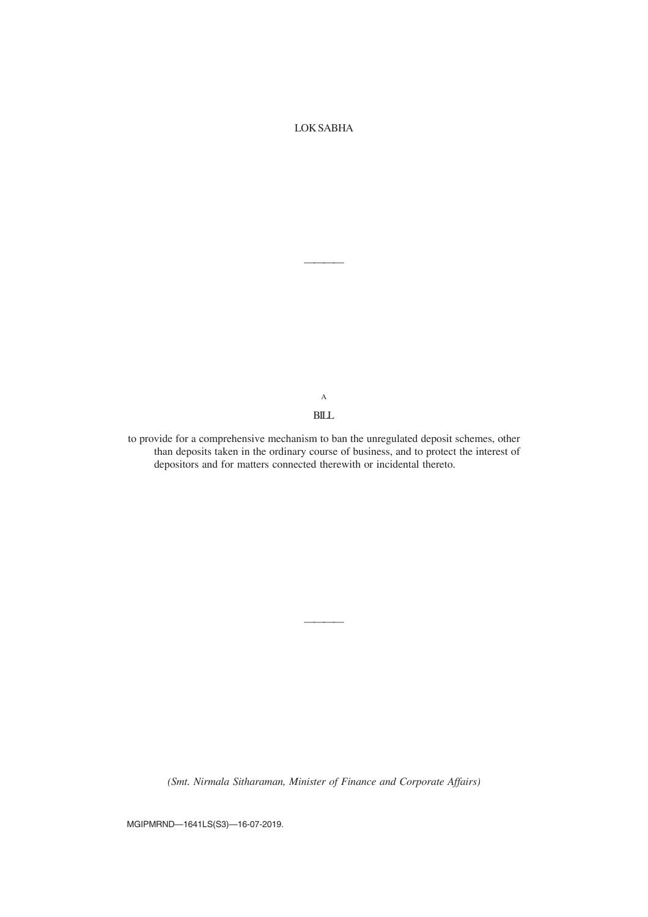# LOK SABHA

————

A BILL

to provide for a comprehensive mechanism to ban the unregulated deposit schemes, other than deposits taken in the ordinary course of business, and to protect the interest of depositors and for matters connected therewith or incidental thereto.

*(Smt. Nirmala Sitharaman, Minister of Finance and Corporate Affairs)*

————

MGIPMRND—1641LS(S3)—16-07-2019.